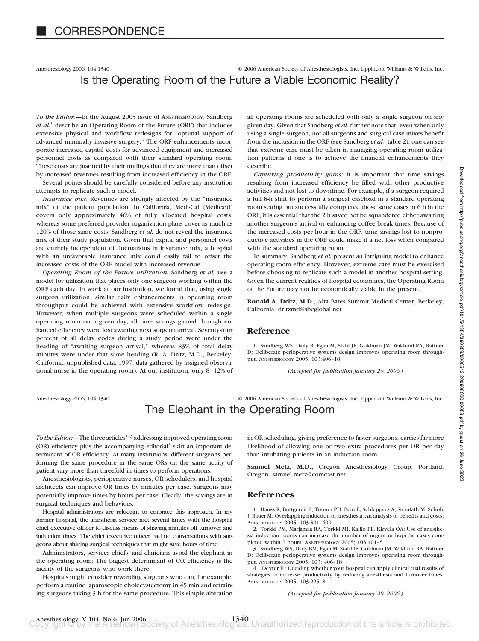Anesthesiology 2006; 104:1340 © 2006 American Society of Anesthesiologists, Inc. Lippincott Williams & Wilkins, Inc.

## Is the Operating Room of the Future a Viable Economic Reality?

*To the Editor:—*In the August 2005 issue of ANESTHESIOLOGY, Sandberg *et al.*<sup>1</sup> describe an Operating Room of the Future (ORF) that includes extensive physical and workflow redesigns for "optimal support of advanced minimally invasive surgery." The ORF enhancements incorporate increased capital costs for advanced equipment and increased personnel costs as compared with their standard operating room. These costs are justified by their findings that they are more than offset by increased revenues resulting from increased efficiency in the ORF.

Several points should be carefully considered before any institution attempts to replicate such a model.

*Insurance mix:* Revenues are strongly affected by the "insurance" mix" of the patient population. In California, Medi-Cal (Medicaid) covers only approximately 46% of fully allocated hospital costs, whereas some preferred provider organization plans cover as much as 120% of those same costs. Sandberg *et al.* do not reveal the insurance mix of their study population. Given that capital and personnel costs are entirely independent of fluctuations in insurance mix, a hospital with an unfavorable insurance mix could easily fail to offset the increased costs of the ORF model with increased revenue.

*Operating Room of the Future utilization:* Sandberg *et al.* use a model for utilization that places only one surgeon working within the ORF each day. In work at our institution, we found that, using single surgeon utilization, similar daily enhancements in operating room throughput could be achieved with extensive workflow redesign. However, when multiple surgeons were scheduled within a single operating room on a given day, all time savings gained through enhanced efficiency were lost awaiting next surgeon arrival. Seventy-four percent of all delay codes during a study period were under the heading of "awaiting surgeon arrival," whereas 83% of total delay minutes were under that same heading (R. A. Dritz, M.D., Berkeley, California, unpublished data, 1997: data gathered by assigned observational nurse in the operating room). At our institution, only 8 –12% of

all operating rooms are scheduled with only a single surgeon on any given day. Given that Sandberg *et al.* further note that, even when only using a single surgeon, not all surgeons and surgical case mixes benefit from the inclusion in the ORF (see Sandberg *et al.*, table 2); one can see that extreme care must be taken in managing operating room utilization patterns if one is to achieve the financial enhancements they describe.

*Capturing productivity gains:* It is important that time savings resulting from increased efficiency be filled with other productive activities and not lost to downtime. For example, if a surgeon required a full 8-h shift to perform a surgical caseload in a standard operating room setting but successfully completed those same cases in 6 h in the ORF, it is essential that the 2 h saved not be squandered either awaiting another surgeon's arrival or enhancing coffee break times. Because of the increased costs per hour in the ORF, time savings lost to nonproductive activities in the ORF could make it a net loss when compared with the standard operating room.

In summary, Sandberg *et al.* present an intriguing model to enhance operating room efficiency. However, extreme care must be exercised before choosing to replicate such a model in another hospital setting. Given the current realities of hospital economics, the Operating Room of the Future may not be economically viable in the present.

**Ronald A. Dritz, M.D.,** Alta Bates Summit Medical Center, Berkeley, California. dritzmd@sbcglobal.net

#### **Reference**

1. Sandberg WS, Daily B, Egan M, Stahl JE, Goldman JM, Wiklund RA, Rattner D: Deliberate perioperative systems design improves operating room throughput. ANESTHESIOLOGY 2005; 103:406–18

*(Accepted for publication January 20, 2006.)*

Anesthesiology 2006; 104:1340 © 2006 American Society of Anesthesiologists, Inc. Lippincott Williams & Wilkins, Inc.

# The Elephant in the Operating Room

*To the Editor:*—The three articles<sup>1-3</sup> addressing improved operating room (OR) efficiency plus the accompanying editorial<sup>4</sup> skirt an important determinant of OR efficiency. At many institutions, different surgeons performing the same procedure in the same ORs on the same acuity of patient vary more than threefold in times to perform operations.

Anesthesiologists, perioperative nurses, OR schedulers, and hospital architects can improve OR times by minutes per case. Surgeons may potentially improve times by hours per case. Clearly, the savings are in surgical techniques and behaviors.

Hospital administrators are reluctant to embrace this approach. In my former hospital, the anesthesia service met several times with the hospital chief executive officer to discuss means of shaving minutes off turnover and induction times. The chief executive officer had no conversations with surgeons about sharing surgical techniques that might save hours of time.

Administrators, services chiefs, and clinicians avoid the elephant in the operating room: The biggest determinant of OR efficiency is the facility of the surgeons who work there.

Hospitals might consider rewarding surgeons who can, for example, perform a routine laparoscopic cholecystectomy in 45 min and retraining surgeons taking 3 h for the same procedure. This simple alteration in OR scheduling, giving preference to faster surgeons, carries far more likelihood of allowing one or two extra procedures per OR per day than intubating patients in an induction room.

**Samuel Metz, M.D.,** Oregon Anesthesiology Group, Portland, Oregon. samuel.metz@comcast.net

#### **References**

1. Hanss R, Buttgereit B, Tonner PH, Bein B, Schleppers A, Steinfath M, Scholz J, Bauer M: Overlapping induction of anesthesia: An analysis of benefits and costs. ANESTHESIOLOGY 2005; 103:391–400

2. Torkki PM, Marjamaa RA, Torkki MI, Kallio PE, Kirvela OA: Use of anesthesia induction rooms can increase the number of urgent orthopedic cases completed within 7 hours. ANESTHESIOLOGY 2005; 103:401–5

3. Sandberg WS, Daily BM, Egan M, Stahl JE, Goldman JM, Wiklund RA, Rattner D: Deliberate perioperative systems design improves operating room throughput. ANESTHESIOLOGY 2005; 103: 406–18

4. Dexter F : Deciding whether your hospital can apply clinical trial results of strategies to increase productivity by reducing anesthesia and turnover times. ANESTHESIOLOGY 2005; 103:225–8

#### *(Accepted for publication January 20, 2006.)*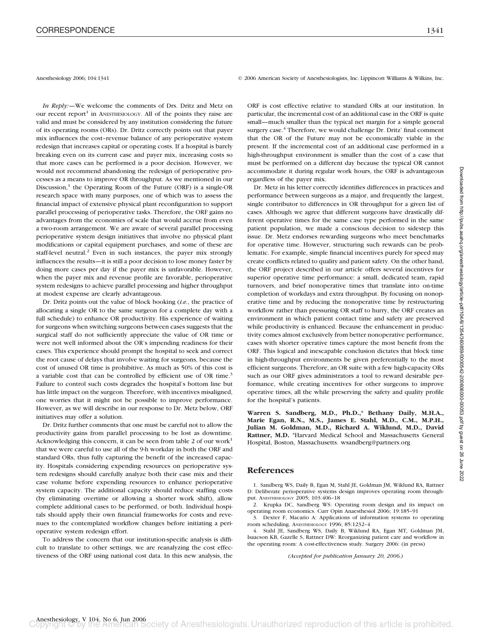*In Reply:*—We welcome the comments of Drs. Dritz and Metz on our recent report<sup>1</sup> in ANESTHESIOLOGY. All of the points they raise are valid and must be considered by any institution considering the future of its operating rooms (ORs). Dr. Dritz correctly points out that payer mix influences the cost–revenue balance of any perioperative system redesign that increases capital or operating costs. If a hospital is barely breaking even on its current case and payer mix, increasing costs so that more cases can be performed is a poor decision. However, we would not recommend abandoning the redesign of perioperative processes as a means to improve OR throughput. As we mentioned in our Discussion, $<sup>1</sup>$  the Operating Room of the Future (ORF) is a single-OR</sup> research space with many purposes, one of which was to assess the financial impact of extensive physical plant reconfiguration to support parallel processing of perioperative tasks. Therefore, the ORF gains no advantages from the economies of scale that would accrue from even a two-room arrangement. We are aware of several parallel processing perioperative system design initiatives that involve no physical plant modifications or capital equipment purchases, and some of these are staff-level neutral.<sup>2</sup> Even in such instances, the payer mix strongly influences the results—it is still a poor decision to lose money faster by doing more cases per day if the payer mix is unfavorable. However, when the payer mix and revenue profile are favorable, perioperative system redesigns to achieve parallel processing and higher throughput at modest expense are clearly advantageous.

Dr. Dritz points out the value of block booking (*i.e.*, the practice of allocating a single OR to the same surgeon for a complete day with a full schedule) to enhance OR productivity. His experience of waiting for surgeons when switching surgeons between cases suggests that the surgical staff do not sufficiently appreciate the value of OR time or were not well informed about the OR's impending readiness for their cases. This experience should prompt the hospital to seek and correct the root cause of delays that involve waiting for surgeons, because the cost of unused OR time is prohibitive. As much as 50% of this cost is a variable cost that can be controlled by efficient use of OR time.<sup>3</sup> Failure to control such costs degrades the hospital's bottom line but has little impact on the surgeon. Therefore, with incentives misaligned, one worries that it might not be possible to improve performance. However, as we will describe in our response to Dr. Metz below, ORF initiatives may offer a solution.

Dr. Dritz further comments that one must be careful not to allow the productivity gains from parallel processing to be lost as downtime. Acknowledging this concern, it can be seen from table 2 of our work<sup>1</sup> that we were careful to use all of the 9-h workday in both the ORF and standard ORs, thus fully capturing the benefit of the increased capacity. Hospitals considering expending resources on perioperative system redesigns should carefully analyze both their case mix and their case volume before expending resources to enhance perioperative system capacity. The additional capacity should reduce staffing costs (by eliminating overtime or allowing a shorter work shift), allow complete additional cases to be performed, or both. Individual hospitals should apply their own financial frameworks for costs and revenues to the contemplated workflow changes before initiating a perioperative system redesign effort.

To address the concern that our institution-specific analysis is difficult to translate to other settings, we are reanalyzing the cost effectiveness of the ORF using national cost data. In this new analysis, the

Anesthesiology 2006; 104:1341 © 2006 American Society of Anesthesiologists, Inc. Lippincott Williams & Wilkins, Inc.

ORF is cost effective relative to standard ORs at our institution. In particular, the incremental cost of an additional case in the ORF is quite small—much smaller than the typical net margin for a simple general surgery case.<sup>4</sup> Therefore, we would challenge Dr. Dritz' final comment that the OR of the Future may not be economically viable in the present. If the incremental cost of an additional case performed in a high-throughput environment is smaller than the cost of a case that must be performed on a different day because the typical OR cannot accommodate it during regular work hours, the ORF is advantageous regardless of the payer mix.

Dr. Metz in his letter correctly identifies differences in practices and performance between surgeons as a major, and frequently the largest, single contributor to differences in OR throughput for a given list of cases. Although we agree that different surgeons have drastically different operative times for the same case type performed in the same patient population, we made a conscious decision to sidestep this issue. Dr. Metz endorses rewarding surgeons who meet benchmarks for operative time. However, structuring such rewards can be problematic. For example, simple financial incentives purely for speed may create conflicts related to quality and patient safety. On the other hand, the ORF project described in our article offers several incentives for superior operative time performance: a small, dedicated team, rapid turnovers, and brief nonoperative times that translate into on-time completion of workdays and extra throughput. By focusing on nonoperative time and by reducing the nonoperative time by restructuring workflow rather than pressuring OR staff to hurry, the ORF creates an environment in which patient contact time and safety are preserved while productivity is enhanced. Because the enhancement in productivity comes almost exclusively from better nonoperative performance, cases with shorter operative times capture the most benefit from the ORF. This logical and inescapable conclusion dictates that block time in high-throughput environments be given preferentially to the most efficient surgeons. Therefore, an OR suite with a few high-capacity ORs such as our ORF gives administrators a tool to reward desirable performance, while creating incentives for other surgeons to improve operative times, all the while preserving the safety and quality profile for the hospital's patients.

**Warren S. Sandberg, M.D., Ph.D.,\* Bethany Daily, M.H.A., Marie Egan, R.N., M.S., James E. Stahl, M.D., C.M., M.P.H., Julian M. Goldman, M.D., Richard A. Wiklund, M.D., David Rattner, M.D.** \*Harvard Medical School and Massachusetts General Hospital, Boston, Massachusetts. wsandberg@partners.org

#### **References**

1. Sandberg WS, Daily B, Egan M, Stahl JE, Goldman JM, Wiklund RA, Rattner D: Deliberate perioperative systems design improves operating room throughput. ANESTHESIOLOGY 2005; 103:406–18

2. Krupka DC, Sandberg WS: Operating room design and its impact on operating room economics. Curr Opin Anaesthesiol 2006; 19:185–91

3. Dexter F, Macario A: Applications of information systems to operating room scheduling. ANESTHESIOLOGY 1996; 85:1232–4

4. Stahl JE, Sandberg WS, Daily B, Wiklund RA, Egan MT, Goldman JM, Isaacson KB, Gazelle S, Rattner DW: Reorganizing patient care and workflow in the operating room: A cost-effectiveness study. Surgery 2006: (in press)

*(Accepted for publication January 20, 2006.)*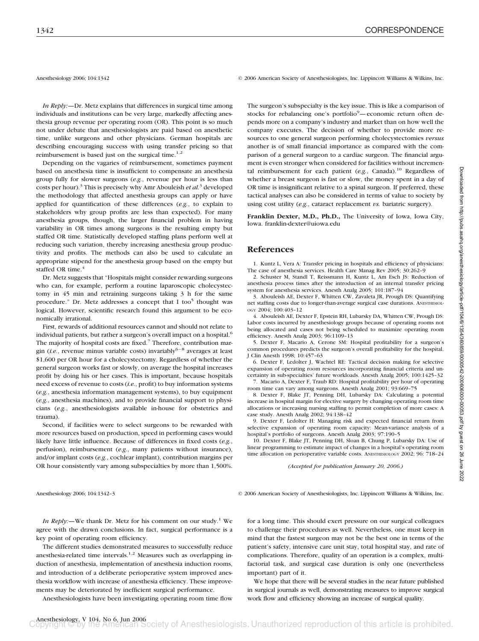Anesthesiology 2006; 104:1342 <sup>©</sup> 2006 American Society of Anesthesiologists, Inc. Lippincott Williams & Wilkins, Inc.

*In Reply:—*Dr. Metz explains that differences in surgical time among individuals and institutions can be very large, markedly affecting anesthesia group revenue per operating room (OR). This point is so much not under debate that anesthesiologists are paid based on anesthetic time, unlike surgeons and other physicians. German hospitals are describing encouraging success with using transfer pricing so that reimbursement is based just on the surgical time.<sup>1,2</sup>

Depending on the vagaries of reimbursement, sometimes payment based on anesthesia time is insufficient to compensate an anesthesia group fully for slower surgeons (*e.g.*, revenue per hour is less than costs per hour).3 This is precisely why Amr Abouleish *et al.*<sup>3</sup> developed the methodology that affected anesthesia groups can apply or have applied for quantification of these differences (*e.g.*, to explain to stakeholders why group profits are less than expected). For many anesthesia groups, though, the larger financial problem in having variability in OR times among surgeons is the resulting empty but staffed OR time. Statistically developed staffing plans perform well at reducing such variation, thereby increasing anesthesia group productivity and profits. The methods can also be used to calculate an appropriate stipend for the anesthesia group based on the empty but staffed OR time.<sup>4</sup>

Dr. Metz suggests that "Hospitals might consider rewarding surgeons who can, for example, perform a routine laparoscopic cholecystectomy in 45 min and retraining surgeons taking 3 h for the same procedure." Dr. Metz addresses a concept that I too<sup>5</sup> thought was logical. However, scientific research found this argument to be economically irrational.

First, rewards of additional resources cannot and should not relate to individual patients, but rather a surgeon's overall impact on a hospital.<sup>6</sup> The majority of hospital costs are fixed.<sup>7</sup> Therefore, contribution margin (*i.e.*, revenue minus variable costs) invariably<sup>6-8</sup> averages at least \$1,600 per OR hour for a cholecystectomy. Regardless of whether the general surgeon works fast or slowly, on average the hospital increases profit by doing his or her cases. This is important, because hospitals need excess of revenue to costs (*i.e.*, profit) to buy information systems (*e.g.*, anesthesia information management systems), to buy equipment (*e.g.*, anesthesia machines), and to provide financial support to physicians (*e.g.*, anesthesiologists available in-house for obstetrics and trauma).

Second, if facilities were to select surgeons to be rewarded with more resources based on production, speed in performing cases would likely have little influence. Because of differences in fixed costs (*e.g.*, perfusion), reimbursement (*e.g.*, many patients without insurance), and/or implant costs (*e.g.*, cochlear implant), contribution margins per OR hour consistently vary among subspecialties by more than 1,500%. The surgeon's subspecialty is the key issue. This is like a comparison of stocks for rebalancing one's portfolio<sup>9</sup> - economic return often depends more on a company's industry and market than on how well the company executes. The decision of whether to provide more resources to one general surgeon performing cholecystectomies *versus* another is of small financial importance as compared with the comparison of a general surgeon to a cardiac surgeon. The financial argument is even stronger when considered for facilities without incremental reimbursement for each patient (*e.g.*, Canada).10 Regardless of whether a breast surgeon is fast or slow, the money spent in a day of OR time is insignificant relative to a spinal surgeon. If preferred, these tactical analyses can also be considered in terms of value to society by using cost utility (*e.g.*, cataract replacement *vs.* bariatric surgery).

**Franklin Dexter, M.D., Ph.D.,** The University of Iowa, Iowa City, Iowa. franklin-dexter@uiowa.edu

#### **References**

1. Kuntz L, Vera A: Transfer pricing in hospitals and efficiency of physicians: The case of anesthesia services. Health Care Manag Rev 2005; 30:262–9

2. Schuster M, Standl T, Reissmann H, Kuntz L, Am Esch JS: Reduction of anesthesia process times after the introduction of an internal transfer pricing system for anesthesia services. Anesth Analg 2005; 101:187–94

3. Abouleish AE, Dexter F, Whitten CW, Zavaleta JR, Prough DS: Quantifying net staffing costs due to longer-than-average surgical case durations. ANESTHESIOL-OGY 2004; 100:403–12

4. Abouleish AE, Dexter F, Epstein RH, Lubarsky DA, Whitten CW, Prough DS: Labor costs incurred by anesthesiology groups because of operating rooms not being allocated and cases not being scheduled to maximize operating room efficiency. Anesth Analg 2003; 96:1109–13

5. Dexter F, Macario A, Cerone SM: Hospital profitability for a surgeon's common procedures predicts the surgeon's overall profitability for the hospital. J Clin Anesth 1998; 10:457–63

6. Dexter F, Ledolter J, Wachtel RE: Tactical decision making for selective expansion of operating room resources incorporating financial criteria and uncertainty in sub-specialties' future workloads. Anesth Analg 2005; 100:1425–32

7. Macario A, Dexter F, Traub RD: Hospital profitability per hour of operating room time can vary among surgeons. Anesth Analg 2001; 93:669–75

8. Dexter F, Blake JT, Penning DH, Lubarsky DA: Calculating a potential increase in hospital margin for elective surgery by changing operating room time allocations or increasing nursing staffing to permit completion of more cases: A case study. Anesth Analg 2002; 94:138–42

9. Dexter F, Ledolter H: Managing risk and expected financial return from selective expansion of operating room capacity: Mean-variance analysis of a hospital's portfolio of surgeons. Anesth Analg 2003; 97:190–5

10. Dexter F, Blake JT, Penning DH, Sloan B, Chung P, Lubarsky DA: Use of linear programming to estimate impact of changes in a hospital's operating room time allocation on perioperative variable costs. ANESTHESIOLOGY 2002; 96: 718–24

*(Accepted for publication January 20, 2006.)*

Anesthesiology 2006; 104:1342–3 © 2006 American Society of Anesthesiologists, Inc. Lippincott Williams & Wilkins, Inc.

*In Reply:*—We thank Dr. Metz for his comment on our study.<sup>1</sup> We agree with the drawn conclusions. In fact, surgical performance is a key point of operating room efficiency.

The different studies demonstrated measures to successfully reduce anesthesia-related time intervals.<sup>1,2</sup> Measures such as overlapping induction of anesthesia, implementation of anesthesia induction rooms, and introduction of a deliberate perioperative system improved anesthesia workflow with increase of anesthesia efficiency. These improvements may be deteriorated by inefficient surgical performance.

Anesthesiologists have been investigating operating room time flow

for a long time. This should exert pressure on our surgical colleagues to challenge their procedures as well. Nevertheless, one must keep in mind that the fastest surgeon may not be the best one in terms of the patient's safety, intensive care unit stay, total hospital stay, and rate of complications. Therefore, quality of an operation is a complex, multifactorial task, and surgical case duration is only one (nevertheless important) part of it.

We hope that there will be several studies in the near future published in surgical journals as well, demonstrating measures to improve surgical work flow and efficiency showing an increase of surgical quality.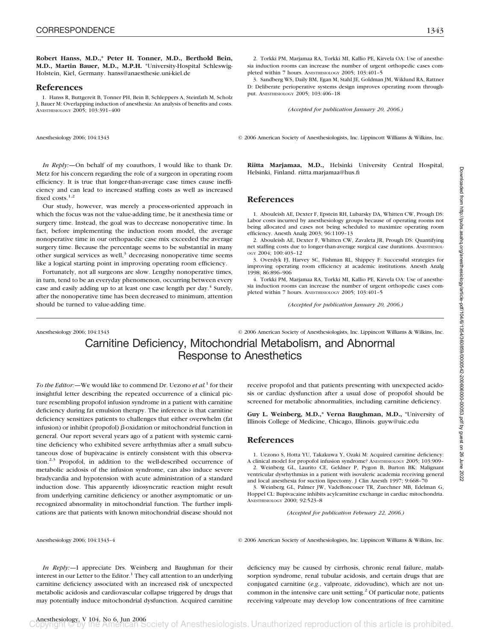**Robert Hanss, M.D.,\* Peter H. Tonner, M.D., Berthold Bein, M.D., Martin Bauer, M.D., M.P.H.** \*University-Hospital Schleswig-Holstein, Kiel, Germany. hanss@anaesthesie.uni-kiel.de

#### **References**

1. Hanss R, Buttgereit B, Tonner PH, Bein B, Schleppers A, Steinfath M, Scholz J, Bauer M: Overlapping induction of anesthesia: An analysis of benefits and costs. ANESTHESIOLOGY 2005; 103:391–400

*In Reply:—*On behalf of my coauthors, I would like to thank Dr. Metz for his concern regarding the role of a surgeon in operating room efficiency. It is true that longer-than-average case times cause inefficiency and can lead to increased staffing costs as well as increased fixed costs. $1,2$ 

Our study, however, was merely a process-oriented approach in which the focus was not the value-adding time, be it anesthesia time or surgery time. Instead, the goal was to decrease nonoperative time. In fact, before implementing the induction room model, the average nonoperative time in our orthopaedic case mix exceeded the average surgery time. Because the percentage seems to be substantial in many other surgical services as well, $3$  decreasing nonoperative time seems like a logical starting point in improving operating room efficiency.

Fortunately, not all surgeons are slow. Lengthy nonoperative times, in turn, tend to be an everyday phenomenon, occurring between every case and easily adding up to at least one case length per day.<sup>4</sup> Surely, after the nonoperative time has been decreased to minimum, attention should be turned to value-adding time.

2. Torkki PM, Marjamaa RA, Torkki MI, Kallio PE, Kirvela OA: Use of anesthesia induction rooms can increase the number of urgent orthopedic cases completed within 7 hours. ANESTHESIOLOGY 2005; 103:401–5

3. Sandberg WS, Daily BM, Egan M, Stahl JE, Goldman JM, Wiklund RA, Rattner D: Deliberate perioperative systems design improves operating room throughput. ANESTHESIOLOGY 2005; 103:406–18

*(Accepted for publication January 20, 2006.)*

Anesthesiology 2006; 104:1343 © 2006 American Society of Anesthesiologists, Inc. Lippincott Williams & Wilkins, Inc.

**Riitta Marjamaa, M.D.,** Helsinki University Central Hospital, Helsinki, Finland. riitta.marjamaa@hus.fi

#### **References**

1. Abouleish AE, Dexter F, Epstein RH, Lubarsky DA, Whitten CW, Prough DS: Labor costs incurred by anesthesiology groups because of operating rooms not being allocated and cases not being scheduled to maximize operating room efficiency. Anesth Analg 2003; 96:1109–13

2. Abouleish AE, Dexter F, Whitten CW, Zavaleta JR, Prough DS: Quantifying net staffing costs due to longer-than-average surgical case durations. ANESTHESIOL-OGY 2004; 100:403–12

3. Overdyk FJ, Harvey SC, Fishman RL, Shippey F: Successful strategies for improving operating room efficiency at academic institutions. Anesth Analg 1998; 86:896–906

4. Torkki PM, Marjamaa RA, Torkki MI, Kallio PE, Kirvela OA: Use of anesthesia induction rooms can increase the number of urgent orthopedic cases completed within 7 hours. ANESTHESIOLOGY 2005; 103:401–5

*(Accepted for publication January 20, 2006.)*

Anesthesiology 2006; 104:1343 © 2006 American Society of Anesthesiologists, Inc. Lippincott Williams & Wilkins, Inc.

Carnitine Deficiency, Mitochondrial Metabolism, and Abnormal Response to Anesthetics

*To the Editor:—*We would like to commend Dr. Uezono *et al.*<sup>1</sup> for their insightful letter describing the repeated occurrence of a clinical picture resembling propofol infusion syndrome in a patient with carnitine deficiency during fat emulsion therapy. The inference is that carnitine deficiency sensitizes patients to challenges that either overwhelm (fat infusion) or inhibit (propofol)  $\beta$ -oxidation or mitochondrial function in general. Our report several years ago of a patient with systemic carnitine deficiency who exhibited severe arrhythmias after a small subcutaneous dose of bupivacaine is entirely consistent with this observation.2,3 Propofol, in addition to the well-described occurrence of metabolic acidosis of the infusion syndrome, can also induce severe bradycardia and hypotension with acute administration of a standard induction dose. This apparently idiosyncratic reaction might result from underlying carnitine deficiency or another asymptomatic or unrecognized abnormality in mitochondrial function. The further implications are that patients with known mitochondrial disease should not

receive propofol and that patients presenting with unexpected acidosis or cardiac dysfunction after a usual dose of propofol should be screened for metabolic abnormalities, including carnitine deficiency.

**Guy L. Weinberg, M.D.,\* Verna Baughman, M.D.,** \*University of Illinois College of Medicine, Chicago, Illinois. guyw@uic.edu

#### **References**

1. Uezono S, Hotta YU, Takakuwa Y, Ozaki M: Acquired carnitine deficiency: A clinical model for propofol infusion syndrome? ANESTHESIOLOGY 2005; 103:909– 2. Weinberg GL, Laurito CE, Geldner P, Pygon B, Burton BK: Malignant ventricular dysrhythmias in a patient with isovaleric academia receiving general

and local anesthesia for suction lipectomy. J Clin Anesth 1997; 9:668–70 3. Weinberg GL, Palmer JW, VadeBoncouer TR, Zuechner MB, Edelman G,

Hoppel CL: Bupivacaine inhibits acylcarnitine exchange in cardiac mitochondria. ANESTHESIOLOGY 2000; 92:523–8

*(Accepted for publication February 22, 2006.)*

Anesthesiology 2006; 104:1343–4 © 2006 American Society of Anesthesiologists, Inc. Lippincott Williams & Wilkins, Inc.

*In Reply:—*I appreciate Drs. Weinberg and Baughman for their interest in our Letter to the Editor.<sup>1</sup> They call attention to an underlying carnitine deficiency associated with an increased risk of unexpected metabolic acidosis and cardiovascular collapse triggered by drugs that may potentially induce mitochondrial dysfunction. Acquired carnitine deficiency may be caused by cirrhosis, chronic renal failure, malabsorption syndrome, renal tubular acidosis, and certain drugs that are conjugated carnitine (*e.g.*, valproate, zidovudine), which are not uncommon in the intensive care unit setting.<sup>2</sup> Of particular note, patients receiving valproate may develop low concentrations of free carnitine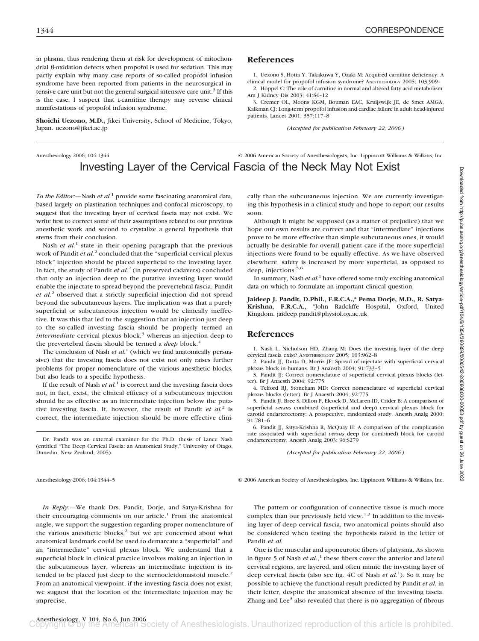in plasma, thus rendering them at risk for development of mitochondrial  $\beta$ -oxidation defects when propofol is used for sedation. This may partly explain why many case reports of so-called propofol infusion syndrome have been reported from patients in the neurosurgical intensive care unit but not the general surgical intensive care unit.<sup>3</sup> If this is the case, I suspect that L-carnitine therapy may reverse clinical manifestations of propofol infusion syndrome.

**Shoichi Uezono, M.D.,** Jikei University, School of Medicine, Tokyo, Japan. uezono@jikei.ac.jp

#### **References**

1. Uezono S, Hotta Y, Takakuwa Y, Ozaki M: Acquired carnitine deficiency: A clinical model for propofol infusion syndrome? ANESTHESIOLOGY 2005; 103:909– 2. Hoppel C: The role of carnitine in normal and altered fatty acid metabolism. Am J Kidney Dis 2003; 41:S4–12

3. Cremer OL, Moons KGM, Bouman EAC, Kruijswijk JE, de Smet AMGA, Kalkman CJ: Long-term propofol infusion and cardiac failure in adult head-injured patients. Lancet 2001; 357:117–8

*(Accepted for publication February 22, 2006.)*

### Anesthesiology 2006; 104:1344 © 2006 American Society of Anesthesiologists, Inc. Lippincott Williams & Wilkins, Inc. Investing Layer of the Cervical Fascia of the Neck May Not Exist

*To the Editor:—*Nash *et al.*<sup>1</sup> provide some fascinating anatomical data, based largely on plastination techniques and confocal microscopy, to suggest that the investing layer of cervical fascia may not exist. We write first to correct some of their assumptions related to our previous anesthetic work and second to crystalize a general hypothesis that stems from their conclusion.

Nash *et al.*<sup>1</sup> state in their opening paragraph that the previous work of Pandit et al.<sup>2</sup> concluded that the "superficial cervical plexus block" injection should be placed superficial to the investing layer. In fact, the study of Pandit *et al.*<sup>2</sup> (in preserved cadavers) concluded that only an injection deep to the putative investing layer would enable the injectate to spread beyond the prevertebral fascia. Pandit *et al.*<sup>2</sup> observed that a strictly superficial injection did not spread beyond the subcutaneous layers. The implication was that a purely superficial or subcutaneous injection would be clinically ineffective. It was this that led to the suggestion that an injection just deep to the so-called investing fascia should be properly termed an *intermediate* cervical plexus block,<sup>3</sup> whereas an injection deep to the prevertebral fascia should be termed a *deep* block.<sup>4</sup>

The conclusion of Nash *et al.*<sup>1</sup> (which we find anatomically persuasive) that the investing fascia does not exist not only raises further problems for proper nomenclature of the various anesthetic blocks, but also leads to a specific hypothesis.

If the result of Nash *et al.*<sup>1</sup> is correct and the investing fascia does not, in fact, exist, the clinical efficacy of a subcutaneous injection should be as effective as an intermediate injection below the putative investing fascia. If, however, the result of Pandit *et al.*<sup>2</sup> is correct, the intermediate injection should be more effective clini-

Dr. Pandit was an external examiner for the Ph.D. thesis of Lance Nash (entitled "The Deep Cervical Fascia: an Anatomical Study," University of Otago, Dunedin, New Zealand, 2005).

cally than the subcutaneous injection. We are currently investigating this hypothesis in a clinical study and hope to report our results soon.

Although it might be supposed (as a matter of prejudice) that we hope our own results are correct and that "intermediate" injections prove to be more effective than simple subcutaneous ones, it would actually be desirable for overall patient care if the more superficial injections were found to be equally effective. As we have observed elsewhere, safety is increased by more superficial, as opposed to deep, injections.<sup>5,6</sup>

In summary, Nash *et al.*<sup>1</sup> have offered some truly exciting anatomical data on which to formulate an important clinical question.

**Jaideep J. Pandit, D.Phil., F.R.C.A.,\* Pema Dorje, M.D., R. Satya-Krishna, F.R.C.A.,** \*John Radcliffe Hospital, Oxford, United Kingdom. jaideep.pandit@physiol.ox.ac.uk

#### **References**

1. Nash L, Nicholson HD, Zhang M: Does the investing layer of the deep cervical fascia exist? ANESTHESIOLOGY 2005; 103:962–8

2. Pandit JJ, Dutta D, Morris JF: Spread of injectate with superficial cervical plexus block in humans. Br J Anaesth 2004; 91:733–5

3. Pandit JJ: Correct nomenclature of superficial cervical plexus blocks (letter). Br J Anaesth 2004; 92:775

4. Telford RJ, Stoneham MD: Correct nomenclature of superficial cervical plexus blocks (letter). Br J Anaesth 2004; 92:775

5. Pandit JJ, Bree S, Dillon P, Elcock D, McLaren ID, Crider B: A comparison of superficial *versus* combined (superficial and deep) cervical plexus block for carotid endarterectomy: A prospective, randomized study. Anesth Analg 2000; 91:781–6

6. Pandit JJ, Satya-Krishna R, McQuay H: A comparison of the complication rate associated with superficial *versus* deep (or combined) block for carotid endarterectomy. Anesth Analg 2003; 96:S279

*(Accepted for publication February 22, 2006.)*

Anesthesiology 2006; 104:1344–5 © 2006 American Society of Anesthesiologists, Inc. Lippincott Williams & Wilkins, Inc.

*In Reply:—*We thank Drs. Pandit, Dorje, and Satya-Krishna for their encouraging comments on our article.<sup>1</sup> From the anatomical angle, we support the suggestion regarding proper nomenclature of the various anesthetic blocks,<sup>2</sup> but we are concerned about what anatomical landmark could be used to demarcate a "superficial" and an "intermediate" cervical plexus block. We understand that a superficial block in clinical practice involves making an injection in the subcutaneous layer, whereas an intermediate injection is intended to be placed just deep to the sternocleidomastoid muscle.<sup>2</sup> From an anatomical viewpoint, if the investing fascia does not exist, we suggest that the location of the intermediate injection may be imprecise.

The pattern or configuration of connective tissue is much more complex than our previously held view. $1,3$  In addition to the investing layer of deep cervical fascia, two anatomical points should also be considered when testing the hypothesis raised in the letter of Pandit *et al.*

One is the muscular and aponeurotic fibers of platysma. As shown in figure 5 of Nash *et al.*, <sup>1</sup> these fibers cover the anterior and lateral cervical regions, are layered, and often mimic the investing layer of deep cervical fascia (also see fig. 4C of Nash *et al.*<sup>1</sup> ). So it may be possible to achieve the functional result predicted by Pandit *et al.* in their letter, despite the anatomical absence of the investing fascia. Zhang and Lee<sup>3</sup> also revealed that there is no aggregation of fibrous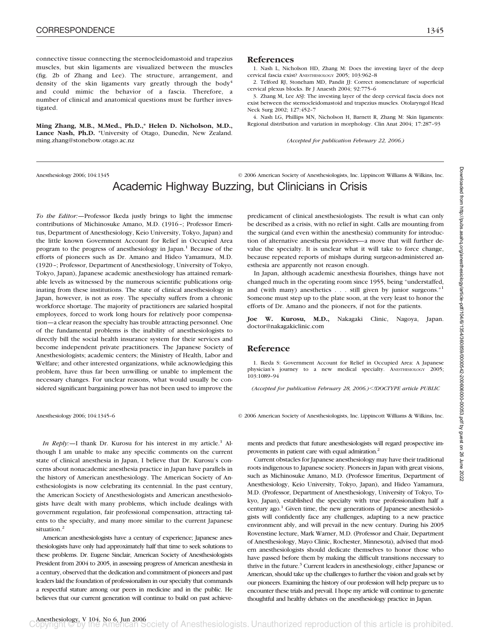connective tissue connecting the sternocleidomastoid and trapezius muscles, but skin ligaments are visualized between the muscles (fig. 2b of Zhang and Lee). The structure, arrangement, and density of the skin ligaments vary greatly through the body<sup>4</sup> and could mimic the behavior of a fascia. Therefore, a number of clinical and anatomical questions must be further investigated.

**Ming Zhang, M.B., M.Med., Ph.D.,\* Helen D. Nicholson, M.D., Lance Nash, Ph.D.** \*University of Otago, Dunedin, New Zealand. ming.zhang@stonebow.otago.ac.nz

#### **References**

1. Nash L, Nicholson HD, Zhang M: Does the investing layer of the deep cervical fascia exist? ANESTHESIOLOGY 2005; 103:962–8

2. Telford RJ, Stoneham MD, Pandit JJ: Correct nomenclature of superficial cervical plexus blocks. Br J Anaesth 2004; 92:775–6

3. Zhang M, Lee ASJ: The investing layer of the deep cervical fascia does not exist between the sternocleidomastoid and trapezius muscles. Otolaryngol Head Neck Surg 2002; 127:452–7

4. Nash LG, Phillips MN, Nicholson H, Barnett R, Zhang M: Skin ligaments: Regional distribution and variation in morphology. Clin Anat 2004; 17:287–93

*(Accepted for publication February 22, 2006.)*

Anesthesiology 2006; 104:1345 © 2006 American Society of Anesthesiologists, Inc. Lippincott Williams & Wilkins, Inc. Academic Highway Buzzing, but Clinicians in Crisis

*To the Editor:—*Professor Ikeda justly brings to light the immense contributions of Michinosuke Amano, M.D. (1916 –; Professor Emeritus, Department of Anesthesiology, Keio University, Tokyo, Japan) and the little known Government Account for Relief in Occupied Area program to the progress of anesthesiology in Japan.<sup>1</sup> Because of the efforts of pioneers such as Dr. Amano and Hideo Yamamura, M.D. (1920 –; Professor, Department of Anesthesiology, University of Tokyo, Tokyo, Japan), Japanese academic anesthesiology has attained remarkable levels as witnessed by the numerous scientific publications originating from these institutions. The state of clinical anesthesiology in Japan, however, is not as rosy. The specialty suffers from a chronic workforce shortage. The majority of practitioners are salaried hospital employees, forced to work long hours for relatively poor compensation—a clear reason the specialty has trouble attracting personnel. One of the fundamental problems is the inability of anesthesiologists to directly bill the social health insurance system for their services and become independent private practitioners. The Japanese Society of Anesthesiologists; academic centers; the Ministry of Health, Labor and Welfare; and other interested organizations, while acknowledging this problem, have thus far been unwilling or unable to implement the necessary changes. For unclear reasons, what would usually be considered significant bargaining power has not been used to improve the

*In Reply:*—I thank Dr. Kurosu for his interest in my article.<sup>1</sup> Although I am unable to make any specific comments on the current state of clinical anesthesia in Japan, I believe that Dr. Kurosu's concerns about nonacademic anesthesia practice in Japan have parallels in the history of American anesthesiology. The American Society of Anesthesiologists is now celebrating its centennial. In the past century, the American Society of Anesthesiologists and American anesthesiologists have dealt with many problems, which include dealings with government regulation, fair professional compensation, attracting talents to the specialty, and many more similar to the current Japanese situation<sup>2</sup>

American anesthesiologists have a century of experience; Japanese anesthesiologists have only had approximately half that time to seek solutions to these problems. Dr. Eugene Sinclair, American Society of Anesthesiologists President from 2004 to 2005, in assessing progress of American anesthesia in a century, observed that the dedication and commitment of pioneers and past leaders laid the foundation of professionalism in our specialty that commands a respectful stature among our peers in medicine and in the public. He believes that our current generation will continue to build on past achievepredicament of clinical anesthesiologists. The result is what can only be described as a crisis, with no relief in sight. Calls are mounting from the surgical (and even within the anesthesia) community for introduction of alternative anesthesia providers—a move that will further devalue the specialty. It is unclear what it will take to force change, because repeated reports of mishaps during surgeon-administered anesthesia are apparently not reason enough.

In Japan, although academic anesthesia flourishes, things have not changed much in the operating room since 1955, being "understaffed, and (with many) anesthetics . . . still given by junior surgeons."<sup>1</sup> Someone must step up to the plate soon, at the very least to honor the efforts of Dr. Amano and the pioneers, if not for the patients.

**Joe W. Kurosu, M.D.,** Nakagaki Clinic, Nagoya, Japan. doctor@nakagakiclinic.com

#### **Reference**

1. Ikeda S: Government Account for Relief in Occupied Area: A Japanese physician's journey to a new medical specialty. ANESTHESIOLOGY 2005; 103:1089–94

*(Accepted for publication February 28, 2006.)!DOCTYPE article PUBLIC*

Anesthesiology 2006; 104:1345-6 © 2006 American Society of Anesthesiologists, Inc. Lippincott Williams & Wilkins, Inc.

ments and predicts that future anesthesiologists will regard prospective improvements in patient care with equal admiration.<sup>2</sup>

Current obstacles for Japanese anesthesiology may have their traditional roots indigenous to Japanese society. Pioneers in Japan with great visions, such as Michinosuke Amano, M.D. (Professor Emeritus, Department of Anesthesiology, Keio University, Tokyo, Japan), and Hideo Yamamura, M.D. (Professor, Department of Anesthesiology, University of Tokyo, Tokyo, Japan), established the specialty with true professionalism half a century ago. $<sup>1</sup>$  Given time, the new generations of Japanese anesthesiolo-</sup> gists will confidently face any challenges, adapting to a new practice environment ably, and will prevail in the new century. During his 2005 Rovenstine lecture, Mark Warner, M.D. (Professor and Chair, Department of Anesthesiology, Mayo Clinic, Rochester, Minnesota), advised that modern anesthesiologists should dedicate themselves to honor those who have passed before them by making the difficult transitions necessary to thrive in the future.<sup>3</sup> Current leaders in anesthesiology, either Japanese or American, should take up the challenges to further the vision and goals set by our pioneers. Examining the history of our profession will help prepare us to encounter these trials and prevail. I hope my article will continue to generate thoughtful and healthy debates on the anesthesiology practice in Japan.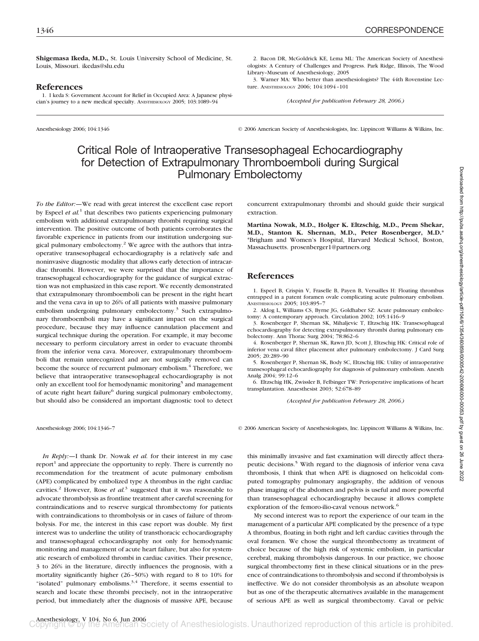**Shigemasa Ikeda, M.D.,** St. Louis University School of Medicine, St. Louis, Missouri. ikedas@slu.edu

#### **References**

1. I keda S: Government Account for Relief in Occupied Area: A Japanese physician's journey to a new medical specialty. ANESTHESIOLOGY 2005; 103:1089–94

2. Bacon DR, McGoldrick KE, Lema ML: The American Society of Anesthesiologists: A Century of Challenges and Progress. Park Ridge, Illinois, The Wood Library–Museum of Anesthesiology, 2005

3. Warner MA: Who better than anesthesiologists? The 44th Rovenstine Lecture. ANESTHESIOLOGY 2006; 104:1094 –101

*(Accepted for publication February 28, 2006.)*

Anesthesiology 2006; 104:1346  $\degree$  2006 American Society of Anesthesiologists, Inc. Lippincott Williams & Wilkins, Inc.

### Critical Role of Intraoperative Transesophageal Echocardiography for Detection of Extrapulmonary Thromboemboli during Surgical Pulmonary Embolectomy

*To the Editor:—*We read with great interest the excellent case report by Espeel *et al.*<sup>1</sup> that describes two patients experiencing pulmonary embolism with additional extrapulmonary thrombi requiring surgical intervention. The positive outcome of both patients corroborates the favorable experience in patients from our institution undergoing surgical pulmonary embolectomy.<sup>2</sup> We agree with the authors that intraoperative transesophageal echocardiography is a relatively safe and noninvasive diagnostic modality that allows early detection of intracardiac thrombi. However, we were surprised that the importance of transesophageal echocardiography for the guidance of surgical extraction was not emphasized in this case report. We recently demonstrated that extrapulmonary thromboemboli can be present in the right heart and the vena cava in up to 26% of all patients with massive pulmonary embolism undergoing pulmonary embolectomy.<sup>3</sup> Such extrapulmonary thromboemboli may have a significant impact on the surgical procedure, because they may influence cannulation placement and surgical technique during the operation. For example, it may become necessary to perform circulatory arrest in order to evacuate thrombi from the inferior vena cava. Moreover, extrapulmonary thromboemboli that remain unrecognized and are not surgically removed can become the source of recurrent pulmonary embolism.<sup>4</sup> Therefore, we believe that intraoperative transesophageal echocardiography is not only an excellent tool for hemodynamic monitoring<sup>5</sup> and management of acute right heart failure<sup>6</sup> during surgical pulmonary embolectomy, but should also be considered an important diagnostic tool to detect

*In Reply:—*I thank Dr. Nowak *et al.* for their interest in my case  $report<sup>1</sup>$  and appreciate the opportunity to reply. There is currently no recommendation for the treatment of acute pulmonary embolism (APE) complicated by embolized type A thrombus in the right cardiac cavities.2 However, Rose *et al.*<sup>3</sup> suggested that it was reasonable to advocate thrombolysis as frontline treatment after careful screening for contraindications and to reserve surgical thrombectomy for patients with contraindications to thrombolysis or in cases of failure of thrombolysis. For me, the interest in this case report was double. My first interest was to underline the utility of transthoracic echocardiography and transesophageal echocardiography not only for hemodynamic monitoring and management of acute heart failure, but also for systematic research of embolized thrombi in cardiac cavities. Their presence, 3 to 26% in the literature, directly influences the prognosis, with a mortality significantly higher (26 –50%) with regard to 8 to 10% for "isolated" pulmonary embolisms.<sup>3,4</sup> Therefore, it seems essential to search and locate these thrombi precisely, not in the intraoperative period, but immediately after the diagnosis of massive APE, because

concurrent extrapulmonary thrombi and should guide their surgical extraction.

**Martina Nowak, M.D., Holger K. Eltzschig, M.D., Prem Shekar, M.D., Stanton K. Shernan, M.D., Peter Rosenberger, M.D.\*** \*Brigham and Women's Hospital, Harvard Medical School, Boston, Massachusetts. prosenberger1@partners.org

#### **References**

1. Espeel B, Crispin V, Fraselle B, Payen B, Versailles H: Floating thrombus entrapped in a patent foramen ovale complicating acute pulmonary embolism. ANESTHESIOLOGY 2005; 103:895–7

2. Aklog L, Williams CS, Byrne JG, Goldhaber SZ: Acute pulmonary embolectomy: A contemporary approach. Circulation 2002; 105:1416–9

3. Rosenberger P, Shernan SK, Mihaljevic T, Eltzschig HK: Transesophageal echocardiography for detecting extrapulmonary thrombi during pulmonary embolectomy. Ann Thorac Surg 2004; 78:862–6

4. Rosenberger P, Shernan SK, Rawn JD, Scott J, Eltzschig HK: Critical role of inferior vena caval filter placement after pulmonary embolectomy. J Card Surg 2005; 20:289–90

5. Rosenberger P, Shernan SK, Body SC, Eltzschig HK: Utility of intraoperative transesophageal echocardiography for diagnosis of pulmonary embolism. Anesth Analg 2004; 99:12–6

6. Eltzschig HK, Zwissler B, Felbinger TW: Perioperative implications of heart transplantation. Anaesthesist 2003; 52:678–89

*(Accepted for publication February 28, 2006.)*

Anesthesiology 2006; 104:1346-7 © 2006 American Society of Anesthesiologists, Inc. Lippincott Williams & Wilkins, Inc.

this minimally invasive and fast examination will directly affect therapeutic decisions.<sup>5</sup> With regard to the diagnosis of inferior vena cava thrombosis, I think that when APE is diagnosed on helicoidal computed tomography pulmonary angiography, the addition of venous phase imaging of the abdomen and pelvis is useful and more powerful than transesophageal echocardiography because it allows complete exploration of the femoro-ilio-caval venous network.<sup>6</sup>

My second interest was to report the experience of our team in the management of a particular APE complicated by the presence of a type A thrombus, floating in both right and left cardiac cavities through the oval foramen. We chose the surgical thrombectomy as treatment of choice because of the high risk of systemic embolism, in particular cerebral, making thrombolysis dangerous. In our practice, we choose surgical thrombectomy first in these clinical situations or in the presence of contraindications to thrombolysis and second if thrombolysis is ineffective. We do not consider thrombolysis as an absolute weapon but as one of the therapeutic alternatives available in the management of serious APE as well as surgical thrombectomy. Caval or pelvic

Anesthesiology, V 104, No 6, Jun 2006<br> **Copyright** C by the American Society of Anesthesiologists. Unauthorized reproduction of this article is prohibited.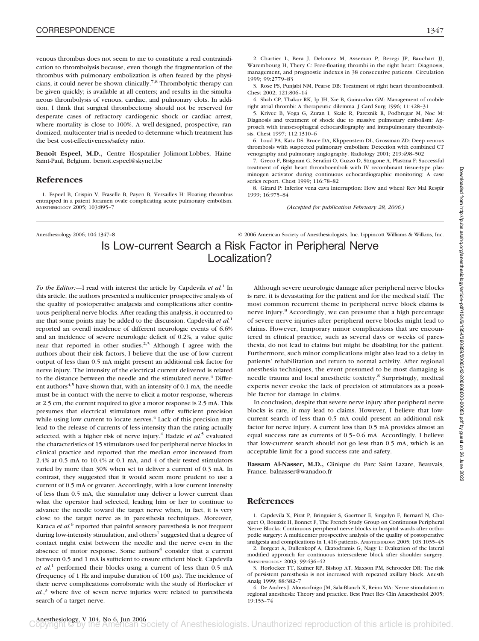venous thrombus does not seem to me to constitute a real contraindication to thrombolysis because, even though the fragmentation of the thrombus with pulmonary embolization is often feared by the physicians, it could never be shown clinically.<sup>7,8</sup> Thrombolytic therapy can be given quickly; is available at all centers; and results in the simultaneous thrombolysis of venous, cardiac, and pulmonary clots. In addition, I think that surgical thrombectomy should not be reserved for desperate cases of refractory cardiogenic shock or cardiac arrest, where mortality is close to 100%. A well-designed, prospective, randomized, multicenter trial is needed to determine which treatment has the best cost-effectiveness/safety ratio.

Benoît Espeel, M.D., Centre Hospitalier Jolimont-Lobbes, Haine-Saint-Paul, Belgium. benoit.espeel@skynet.be

#### **References**

1. Espeel B, Crispin V, Fraselle B, Payen B, Versailles H: Floating thrombus entrapped in a patent foramen ovale complicating acute pulmonary embolism. ANESTHESIOLOGY 2005; 103:895–7

2. Chartier L, Bera J, Delomez M, Asseman P, Beregi JP, Bauchart JJ, Warembourg H, Thery C: Free-floating thrombi in the right heart: Diagnosis, management, and prognostic indexes in 38 consecutive patients. Circulation 1999; 99:2779–83

3. Rose PS, Punjabi NM, Pearse DB: Treatment of right heart thromboemboli. Chest 2002; 121:806–14

4. Shah CP, Thakur RK, Ip JH, Xie B, Guiraudon GM: Management of mobile right atrial thrombi: A therapeutic dilemma. J Card Surg 1996; 11:428–31

5. Krivec B, Voga G, Zuran I, Skale R, Pareznik R, Podbregar M, Noc M: Diagnosis and treatment of shock due to massive pulmonary embolism: Approach with transesophageal echocardiography and intrapulmonary thrombolysis. Chest 1997; 112:1310–6

6. Loud PA, Katz DS, Bruce DA, Klippenstein DL, Grossman ZD: Deep venous thrombosis with suspected pulmonary embolism: Detection with combined CT venography and pulmonary angiography. Radiology 2001; 219:498–502

7. Greco F, Bisignani G, Serafini O, Guzzo D, Stingone A, Plastina F: Successful treatment of right heart thromboemboli with IV recombinant tissue-type plasminogen activator during continuous echocardiographic monitoring: A case series report. Chest 1999; 116:78–82

8. Girard P: Inferior vena cava interruption: How and when? Rev Mal Respir 1999; 16:975–84

*(Accepted for publication February 28, 2006.)*

Anesthesiology 2006; 104:1347–8 © 2006 American Society of Anesthesiologists, Inc. Lippincott Williams & Wilkins, Inc.

### Is Low-current Search a Risk Factor in Peripheral Nerve Localization?

*To the Editor:—*I read with interest the article by Capdevila *et al.*<sup>1</sup> In this article, the authors presented a multicenter prospective analysis of the quality of postoperative analgesia and complications after continuous peripheral nerve blocks. After reading this analysis, it occurred to me that some points may be added to the discussion. Capdevila *et al.*<sup>1</sup> reported an overall incidence of different neurologic events of 6.6% and an incidence of severe neurologic deficit of 0.2%, a value quite near that reported in other studies.2,3 Although I agree with the authors about their risk factors, I believe that the use of low current output of less than 0.5 mA might present an additional risk factor for nerve injury. The intensity of the electrical current delivered is related to the distance between the needle and the stimulated nerve.<sup>4</sup> Different authors $4,5$  have shown that, with an intensity of 0.1 mA, the needle must be in contact with the nerve to elicit a motor response, whereas at 2.5 cm, the current required to give a motor response is 2.5 mA. This presumes that electrical stimulators must offer sufficient precision while using low current to locate nerves.<sup>4</sup> Lack of this precision may lead to the release of currents of less intensity than the rating actually selected, with a higher risk of nerve injury.<sup>4</sup> Hadzic *et al.*<sup>5</sup> evaluated the characteristics of 15 stimulators used for peripheral nerve blocks in clinical practice and reported that the median error increased from 2.4% at 0.5 mA to 10.4% at 0.1 mA, and 4 of their tested stimulators varied by more than 30% when set to deliver a current of 0.3 mA. In contrast, they suggested that it would seem more prudent to use a current of 0.5 mA or greater. Accordingly, with a low current intensity of less than 0.5 mA, the stimulator may deliver a lower current than what the operator had selected, leading him or her to continue to advance the needle toward the target nerve when, in fact, it is very close to the target nerve as in paresthesia techniques. Moreover, Karaca *et al.*<sup>6</sup> reported that painful sensory paresthesia is not frequent during low-intensity stimulation, and others<sup>7</sup> suggested that a degree of contact might exist between the needle and the nerve even in the absence of motor response. Some authors $4$  consider that a current between 0.5 and 1 mA is sufficient to ensure efficient block. Capdevila *et al.*<sup>1</sup> performed their blocks using a current of less than 0.5 mA (frequency of 1 Hz and impulse duration of 100  $\mu$ s). The incidence of their nerve complications corroborate with the study of Horlocker *et al.*, <sup>3</sup> where five of seven nerve injuries were related to paresthesia search of a target nerve.

Although severe neurologic damage after peripheral nerve blocks is rare, it is devastating for the patient and for the medical staff. The most common recurrent theme in peripheral nerve block claims is nerve injury.<sup>8</sup> Accordingly, we can presume that a high percentage of severe nerve injuries after peripheral nerve blocks might lead to claims. However, temporary minor complications that are encountered in clinical practice, such as several days or weeks of paresthesia, do not lead to claims but might be disabling for the patient. Furthermore, such minor complications might also lead to a delay in patients' rehabilitation and return to normal activity. After regional anesthesia techniques, the event presumed to be most damaging is needle trauma and local anesthetic toxicity.<sup>8</sup> Surprisingly, medical experts never evoke the lack of precision of stimulators as a possible factor for damage in claims.

In conclusion, despite that severe nerve injury after peripheral nerve blocks is rare, it may lead to claims. However, I believe that lowcurrent search of less than 0.5 mA could present an additional risk factor for nerve injury. A current less than 0.5 mA provides almost an equal success rate as currents of 0.5– 0.6 mA. Accordingly, I believe that low-current search should not go less than 0.5 mA, which is an acceptable limit for a good success rate and safety.

**Bassam Al-Nasser, M.D.,** Clinique du Parc Saint Lazare, Beauvais, France. balnasser@wanadoo.fr

#### **References**

1. Capdevila X, Pirat P, Bringuier S, Gaertner E, Singelyn F, Bernard N, Choquet O. Bouaziz H. Bonnet F, The French Study Group on Continuous Peripheral Nerve Blocks: Continuous peripheral nerve blocks in hospital wards after orthopedic surgery: A multicenter prospective analysis of the quality of postoperative analgesia and complications in 1,416 patients. ANESTHESIOLOGY 2005; 103:1035–45

2. Borgeat A, Dullenkopf A, Ekatodramis G, Nagy L: Evaluation of the lateral modified approach for continuous interscalene block after shoulder surgery. ANESTHESIOLOGY 2003; 99:436–42

3. Horlocker TT, Kufner RP, Bishop AT, Maxson PM, Schroeder DR: The risk of persistent paresthesia is not increased with repeated axillary block. Anesth Analg 1999; 88:382–7

4. De Andres J, Alonso-Inigo JM, Sala-Blanch X, Reina MA: Nerve stimulation in regional anesthesia: Theory and practice. Best Pract Res Clin Anaesthesiol 2005; 19:153–74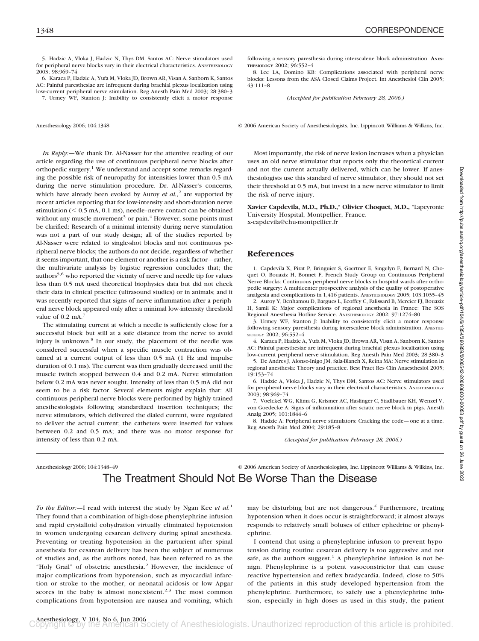5. Hadzic A, Vloka J, Hadzic N, Thys DM, Santos AC: Nerve stimulators used for peripheral nerve blocks vary in their electrical characteristics. ANESTHESIOLOGY 2003; 98:969–74

6. Karaca P, Hadzic A, Yufa M, Vloka JD, Brown AR, Visan A, Sanborn K, Santos AC: Painful paresthesiae are infrequent during brachial plexus localization using low-current peripheral nerve stimulation. Reg Anesth Pain Med 2003; 28:380–3 7. Urmey WF, Stanton J: Inability to consistently elicit a motor response

*In Reply:—*We thank Dr. Al-Nasser for the attentive reading of our article regarding the use of continuous peripheral nerve blocks after orthopedic surgery.<sup>1</sup> We understand and accept some remarks regarding the possible risk of neuropathy for intensities lower than 0.5 mA during the nerve stimulation procedure. Dr. Al-Nasser's concerns, which have already been evoked by Auroy *et al.*,<sup>2</sup> are supported by recent articles reporting that for low-intensity and short-duration nerve stimulation  $(< 0.5$  mA,  $(0.1 \text{ ms})$ , needle-nerve contact can be obtained without any muscle movement<sup>3</sup> or pain.<sup>4</sup> However, some points must be clarified: Research of a minimal intensity during nerve stimulation was not a part of our study design; all of the studies reported by Al-Nasser were related to single-shot blocks and not continuous peripheral nerve blocks; the authors do not decide, regardless of whether it seems important, that one element or another is a risk factor—rather, the multivariate analysis by logistic regression concludes that; the authors<sup>5,6</sup> who reported the vicinity of nerve and needle tip for values less than 0.5 mA used theoretical biophysics data but did not check their data in clinical practice (ultrasound studies) or in animals; and it was recently reported that signs of nerve inflammation after a peripheral nerve block appeared only after a minimal low-intensity threshold value of  $0.2 \text{ mA}^7$ 

The stimulating current at which a needle is sufficiently close for a successful block but still at a safe distance from the nerve to avoid injury is unknown.<sup>8</sup> In our study, the placement of the needle was considered successful when a specific muscle contraction was obtained at a current output of less than 0.5 mA (1 Hz and impulse duration of 0.1 ms). The current was then gradually decreased until the muscle twitch stopped between 0.4 and 0.2 mA. Nerve stimulation below 0.2 mA was never sought. Intensity of less than 0.5 mA did not seem to be a risk factor. Several elements might explain that: All continuous peripheral nerve blocks were performed by highly trained anesthesiologists following standardized insertion techniques; the nerve stimulators, which delivered the dialed current, were regulated to deliver the actual current; the catheters were inserted for values between 0.2 and 0.5 mA; and there was no motor response for intensity of less than 0.2 mA.

following a sensory paresthesia during interscalene block administration. **ANES-THESIOLOGY** 2002; 96:552–4

8. Lee LA, Domino KB: Complications associated with peripheral nerve blocks: Lessons from the ASA Closed Claims Project. Int Anesthesiol Clin 2005; 43:111–8

*(Accepted for publication February 28, 2006.)*

Anesthesiology 2006; 104:1348 © 2006 American Society of Anesthesiologists, Inc. Lippincott Williams & Wilkins, Inc.

Most importantly, the risk of nerve lesion increases when a physician uses an old nerve stimulator that reports only the theoretical current and not the current actually delivered, which can be lower. If anesthesiologists use this standard of nerve stimulator, they should not set their threshold at 0.5 mA, but invest in a new nerve stimulator to limit the risk of nerve injury.

**Xavier Capdevila, M.D., Ph.D.,\* Olivier Choquet, M.D.,** \*Lapeyronie University Hospital, Montpellier, France. x-capdevila@chu-montpellier.fr

#### **References**

1. Capdevila X, Pirat P, Bringuier S, Gaertner E, Singelyn F, Bernard N, Choquet O, Bouaziz H, Bonnet F, French Study Group on Continuous Peripheral Nerve Blocks: Continuous peripheral nerve blocks in hospital wards after orthopedic surgery: A multicenter prospective analysis of the quality of postoperative analgesia and complications in 1,416 patients. ANESTHESIOLOGY 2005; 103:1035–45

2. Auroy Y, Benhamou D, Bargues L, Ecoffey C, Falissard B, Mercier FJ, Bouaziz H, Samii K: Major complications of regional anesthesia in France: The SOS Regional Anesthesia Hotline Service. ANESTHESIOLOGY 2002; 97:1274–80

3. Urmey WF, Stanton J: Inability to consistently elicit a motor response following sensory paresthesia during interscalene block administration. ANESTHE-SIOLOGY 2002; 96:552–4

4. Karaca P, Hadzic A, Yufa M, Vloka JD, Brown AR, Visan A, Sanborn K, Santos AC: Painful paresthesiae are infrequent during brachial plexus localization using low-current peripheral nerve stimulation. Reg Anesth Pain Med 2003; 28:380–3 5. De Andres J, Alonso-Inigo JM, Sala-Blanch X, Reina MA: Nerve stimulation in

regional anesthesia: Theory and practice. Best Pract Res Clin Anaesthesiol 2005; 19:153–74

6. Hadzic A, Vloka J, Hadzic N, Thys DM, Santos AC: Nerve stimulators used for peripheral nerve blocks vary in their electrical characteristics. ANESTHESIOLOGY 2003; 98:969–74

7. Voelckel WG, Klima G, Krismer AC, Haslinger C, Stadlbauer KH, Wenzel V, von Goedecke A: Signs of inflammation after sciatic nerve block in pigs. Anesth Analg 2005; 101:1844–6

8. Hadzic A: Peripheral nerve stimulators: Cracking the code— one at a time. Reg Anesth Pain Med 2004; 29:185–8

*(Accepted for publication February 28, 2006.)*

Anesthesiology 2006; 104:1348–49 © 2006 American Society of Anesthesiologists, Inc. Lippincott Williams & Wilkins, Inc.

The Treatment Should Not Be Worse Than the Disease

*To the Editor:—*I read with interest the study by Ngan Kee *et al.*<sup>1</sup> They found that a combination of high-dose phenylephrine infusion and rapid crystalloid cohydration virtually eliminated hypotension in women undergoing cesarean delivery during spinal anesthesia. Preventing or treating hypotension in the parturient after spinal anesthesia for cesarean delivery has been the subject of numerous of studies and, as the authors noted, has been referred to as the "Holy Grail" of obstetric anesthesia.<sup>2</sup> However, the incidence of major complications from hypotension, such as myocardial infarction or stroke to the mother, or neonatal acidosis or low Apgar scores in the baby is almost nonexistent. $2,3$  The most common complications from hypotension are nausea and vomiting, which

may be disturbing but are not dangerous.<sup>4</sup> Furthermore, treating hypotension when it does occur is straightforward; it almost always responds to relatively small boluses of either ephedrine or phenylephrine.

I contend that using a phenylephrine infusion to prevent hypotension during routine cesarean delivery is too aggressive and not safe, as the authors suggest.<sup>1</sup> A phenylephrine infusion is not benign. Phenylephrine is a potent vasoconstrictor that can cause reactive hypertension and reflex bradycardia. Indeed, close to 50% of the patients in this study developed hypertension from the phenylephrine. Furthermore, to safely use a phenylephrine infusion, especially in high doses as used in this study, the patient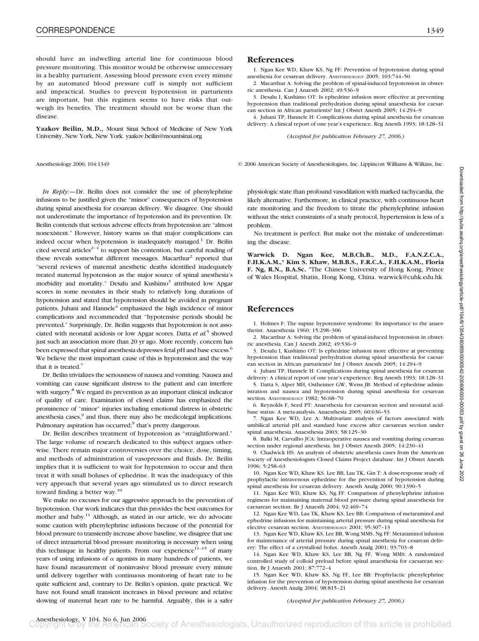should have an indwelling arterial line for continuous blood pressure monitoring. This monitor would be otherwise unnecessary in a healthy parturient. Assessing blood pressure even every minute by an automated blood pressure cuff is simply not sufficient and impractical. Studies to prevent hypotension in parturients are important, but this regimen seems to have risks that outweigh its benefits. The treatment should not be worse than the disease.

**Yaakov Beilin, M.D.,** Mount Sinai School of Medicine of New York University, New York, New York. yaakov.beilin@mountsinai.org

**References**

1. Ngan Kee WD, Khaw KS, Ng FF: Prevention of hypotension during spinal anesthesia for cesarean delivery. ANESTHESIOLOGY 2005; 103:744–50

2. Macarthur A: Solving the problem of spinal-induced hypotension in obstetric anesthesia. Can J Anaesth 2002; 49:536–9

3. Desalu I, Kushimo OT: Is ephedrine infusion more effective at preventing hypotension than traditional prehydration during spinal anaesthesia for caesarean section in African parturients? Int J Obstet Anesth 2005; 14:294–9

4. Juhani TP, Hannele H: Complications during spinal anesthesia for cesarean delivery: A clinical report of one year's experience. Reg Anesth 1993; 18:128–31

*(Accepted for publication February 27, 2006.)*

Anesthesiology 2006; 104:1349 © 2006 American Society of Anesthesiologists, Inc. Lippincott Williams & Wilkins, Inc.

*In Reply:—*Dr. Beilin does not consider the use of phenylephrine infusions to be justified given the "minor" consequences of hypotension during spinal anesthesia for cesarean delivery. We disagree. One should not underestimate the importance of hypotension and its prevention. Dr. Beilin contends that serious adverse effects from hypotension are "almost nonexistent." However, history warns us that major complications can indeed occur when hypotension is inadequately managed.<sup>1</sup> Dr. Beilin cited several articles<sup>2-4</sup> to support his contention, but careful reading of these reveals somewhat different messages. Macarthur<sup>2</sup> reported that "several reviews of maternal anesthetic deaths identified inadequately treated maternal hypotension as the major source of spinal anesthesia's morbidity and mortality." Desalu and Kushimo<sup>3</sup> attributed low Apgar scores in some neonates in their study to relatively long durations of hypotension and stated that hypotension should be avoided in pregnant patients. Juhani and Hannele<sup>4</sup> emphasized the high incidence of minor complications and recommended that "hypotensive periods should be prevented." Surprisingly, Dr. Beilin suggests that hypotension is not associated with neonatal acidosis or low Apgar scores. Datta *et al.*<sup>5</sup> showed just such an association more than 20 yr ago. More recently, concern has been expressed that spinal anesthesia depresses fetal pH and base excess.<sup>6</sup> We believe the most important cause of this is hypotension and the way that it is treated. $7$ 

Dr. Beilin trivializes the seriousness of nausea and vomiting. Nausea and vomiting can cause significant distress to the patient and can interfere with surgery.8 We regard its prevention as an important clinical indicator of quality of care. Examination of closed claims has emphasized the prominence of "minor" injuries including emotional distress in obstetric anesthesia cases,<sup>9</sup> and thus, there may also be medicolegal implications. Pulmonary aspiration has occurred;<sup>9</sup> that's pretty dangerous.

Dr. Beilin describes treatment of hypotension as "straightforward." The large volume of research dedicated to this subject argues otherwise. There remain major controversies over the choice, dose, timing, and methods of administration of vasopressors and fluids. Dr. Beilin implies that it is sufficient to wait for hypotension to occur and then treat it with small boluses of ephedrine. It was the inadequacy of this very approach that several years ago stimulated us to direct research toward finding a better way.10

We make no excuses for our aggressive approach to the prevention of hypotension. Our work indicates that this provides the best outcomes for mother and baby.<sup>11</sup> Although, as stated in our article, we do advocate some caution with phenylephrine infusions because of the potential for blood pressure to transiently increase above baseline, we disagree that use of direct intraarterial blood pressure monitoring is necessary when using this technique in healthy patients. From our experience<sup>11-15</sup> of many years of using infusions of  $\alpha$  agonists in many hundreds of patients, we have found measurement of noninvasive blood pressure every minute until delivery together with continuous monitoring of heart rate to be quite sufficient and, contrary to Dr. Beilin's opinion, quite practical. We have not found small transient increases in blood pressure and relative slowing of maternal heart rate to be harmful. Arguably, this is a safer

physiologic state than profound vasodilation with marked tachycardia, the likely alternative. Furthermore, in clinical practice, with continuous heart rate monitoring and the freedom to titrate the phenylephrine infusion without the strict constraints of a study protocol, hypertension is less of a problem.

No treatment is perfect. But make not the mistake of underestimating the disease.

**Warwick D. Ngan Kee, M.B.Ch.B., M.D., F.A.N.Z.C.A., F.H.K.A.M.,\* Kim S. Khaw, M.B.B.S., F.R.C.A., F.H.K.A.M., Floria F. Ng, R.N., B.A.Sc.** \*The Chinese University of Hong Kong, Prince of Wales Hospital, Shatin, Hong Kong, China. warwick@cuhk.edu.hk

#### **References**

1. Holmes F: The supine hypotensive syndrome: Its importance to the anaesthetist. Anaesthesia 1960; 15:298–306

2. Macarthur A: Solving the problem of spinal-induced hypotension in obstetric anesthesia. Can J Anesth 2002; 49:536–9

3. Desalu I, Kushimo OT: Is ephedrine infusion more effective at preventing hypotension than traditional prehydration during spinal anaesthesia for caesarean section in African parturients? Int J Obstet Anesth 2005; 14:294–9

4. Juhani TP, Hannele H: Complications during spinal anesthesia for cesarean delivery: A clinical report of one year's experience. Reg Anesth 1993; 18:128–31

5. Datta S, Alper MH, Ostheimer GW, Weiss JB: Method of ephedrine administration and nausea and hypotension during spinal anesthesia for cesarean section. ANESTHESIOLOGY 1982; 56:68–70

6. Reynolds F, Seed PT: Anaesthesia for caesarean section and neonatal acidbase status: A meta-analysis. Anaesthesia 2005; 60:636–53

7. Ngan Kee WD, Lee A: Multivariate analysis of factors associated with umbilical arterial pH and standard base excess after caesarean section under spinal anaesthesia. Anaesthesia 2003; 58:125–30

8. Balki M, Carvalho JCA: Intraoperative nausea and vomiting during cesarean section under regional anesthesia. Int J Obstet Anesth 2005; 14:230–41

9. Chadwick HS: An analysis of obstetric anesthesia cases from the American Society of Anesthesiologists Closed Claims Project database. Int J Obstet Anesth 1996; 5:258–63

10. Ngan Kee WD, Khaw KS, Lee BB, Lau TK, Gin T: A dose-response study of prophylactic intravenous ephedrine for the prevention of hypotension during spinal anesthesia for cesarean delivery. Anesth Analg 2000; 90:1390–5

11. Ngan Kee WD, Khaw KS, Ng FF: Comparison of phenylephrine infusion regimens for maintaining maternal blood pressure during spinal anaesthesia for caesarean section. Br J Anaesth 2004; 92:469–74

12. Ngan Kee WD, Lau TK, Khaw KS, Lee BB: Comparison of metaraminol and ephedrine infusions for maintaining arterial pressure during spinal anesthesia for elective cesarean section. ANESTHESIOLOGY 2001; 95:307–13

13. Ngan Kee WD, Khaw KS, Lee BB, Wong MMS, Ng FF: Metaraminol infusion for maintenance of arterial pressure during spinal anesthesia for cesarean delivery: The effect of a crystalloid bolus. Anesth Analg 2001; 93:703–8

14. Ngan Kee WD, Khaw KS, Lee BB, Ng FF, Wong MMS: A randomized controlled study of colloid preload before spinal anaesthesia for caesarean section. Br J Anaesth 2001; 87:772–4

15. Ngan Kee WD, Khaw KS, Ng FF, Lee BB: Prophylactic phenylephrine infusion for the prevention of hypotension during spinal anesthesia for cesarean delivery. Anesth Analg 2004; 98:815–21

#### *(Accepted for publication February 27, 2006.)*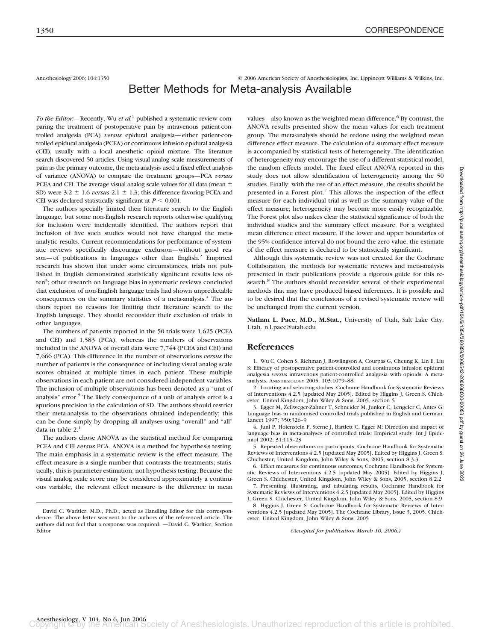Anesthesiology 2006; 104:1350 © 2006 American Society of Anesthesiologists, Inc. Lippincott Williams & Wilkins, Inc.

## Better Methods for Meta-analysis Available

*To the Editor:—*Recently, Wu *et al.*<sup>1</sup> published a systematic review comparing the treatment of postoperative pain by intravenous patient-controlled analgesia (PCA) *versus* epidural analgesia—either patient-controlled epidural analgesia (PCEA) or continuous infusion epidural analgesia (CEI), usually with a local anesthetic–opioid mixture. The literature search discovered 50 articles. Using visual analog scale measurements of pain as the primary outcome, the meta-analysis used a fixed effect analysis of variance (ANOVA) to compare the treatment groups—PCA *versus* PCEA and CEI. The average visual analog scale values for all data (mean  $\pm$ SD) were  $3.2 \pm 1.6$  *versus*  $2.1 \pm 1.3$ ; this difference favoring PCEA and CEI was declared statistically significant at  $P \leq 0.001$ .

The authors specially limited their literature search to the English language, but some non-English research reports otherwise qualifying for inclusion were incidentally identified. The authors report that inclusion of five such studies would not have changed the metaanalytic results. Current recommendations for performance of systematic reviews specifically discourage exclusion—without good reason—of publications in languages other than English. $^2$  Empirical research has shown that under some circumstances, trials not published in English demonstrated statistically significant results less often<sup>3</sup>; other research on language bias in systematic reviews concluded that exclusion of non-English language trials had shown unpredictable consequences on the summary statistics of a meta-analysis.<sup>4</sup> The authors report no reasons for limiting their literature search to the English language. They should reconsider their exclusion of trials in other languages.

The numbers of patients reported in the 50 trials were 1,625 (PCEA and CEI) and 1,583 (PCA), whereas the numbers of observations included in the ANOVA of overall data were 7,744 (PCEA and CEI) and 7,666 (PCA). This difference in the number of observations *versus* the number of patients is the consequence of including visual analog scale scores obtained at multiple times in each patient. These multiple observations in each patient are not considered independent variables. The inclusion of multiple observations has been denoted as a "unit of analysis" error.<sup>5</sup> The likely consequence of a unit of analysis error is a spurious precision in the calculation of SD. The authors should restrict their meta-analysis to the observations obtained independently; this can be done simply by dropping all analyses using "overall" and "all" data in table  $2<sup>1</sup>$ 

The authors chose ANOVA as the statistical method for comparing PCEA and CEI *versus* PCA. ANOVA is a method for hypothesis testing. The main emphasis in a systematic review is the effect measure. The effect measure is a single number that contrasts the treatments; statistically, this is parameter estimation, not hypothesis testing. Because the visual analog scale score may be considered approximately a continuous variable, the relevant effect measure is the difference in mean

values—also known as the weighted mean difference.<sup>6</sup> By contrast, the ANOVA results presented show the mean values for each treatment group. The meta-analysis should be redone using the weighted mean difference effect measure. The calculation of a summary effect measure is accompanied by statistical tests of heterogeneity. The identification of heterogeneity may encourage the use of a different statistical model, the random effects model. The fixed effect ANOVA reported in this study does not allow identification of heterogeneity among the 50 studies. Finally, with the use of an effect measure, the results should be presented in a Forest plot.<sup>7</sup> This allows the inspection of the effect measure for each individual trial as well as the summary value of the effect measure; heterogeneity may become more easily recognizable. The Forest plot also makes clear the statistical significance of both the individual studies and the summary effect measure. For a weighted mean difference effect measure, if the lower and upper boundaries of the 95% confidence interval do not bound the zero value, the estimate of the effect measure is declared to be statistically significant.

Although this systematic review was not created for the Cochrane Collaboration, the methods for systematic reviews and meta-analysis presented in their publications provide a rigorous guide for this research.<sup>8</sup> The authors should reconsider several of their experimental methods that may have produced biased inferences. It is possible and to be desired that the conclusions of a revised systematic review will be unchanged from the current version.

**Nathan L. Pace, M.D., M.Stat.,** University of Utah, Salt Lake City, Utah. n.l.pace@utah.edu

#### **References**

1. Wu C, Cohen S, Richman J, Rowlingson A, Courpas G, Cheung K, Lin E, Liu S: Efficacy of postoperative patient-controlled and continuous infusion epidural analgesia *versus* intravenous patient-controlled analgesia with opioids: A metaanalysis. ANESTHESIOLOGY 2005; 103:1079–88

2. Locating and selecting studies, Cochrane Handbook for Systematic Reviews of Interventions 4.2.5 [updated May 2005]. Edited by Higgins J, Green S. Chichester, United Kingdom, John Wiley & Sons, 2005, section 5

3. Egger M, Zellweger-Zahner T, Schneider M, Junker C, Lengeler C, Antes G: Language bias in randomised controlled trials published in English and German. Lancet 1997; 350:326–9

4. Juni P, Holenstein F, Sterne J, Bartlett C, Egger M: Direction and impact of language bias in meta-analyses of controlled trials: Empirical study. Int J Epidemiol 2002; 31:115–23

5. Repeated observations on participants, Cochrane Handbook for Systematic Reviews of Interventions 4.2.5 [updated May 2005]. Edited by Higgins J, Green S. Chichester, United Kingdom, John Wiley & Sons, 2005, section 8.3.3

6. Effect measures for continuous outcomes, Cochrane Handbook for Systematic Reviews of Interventions 4.2.5 [updated May 2005]. Edited by Higgins J, Green S. Chichester, United Kingdom, John Wiley & Sons, 2005, section 8.2.2

7. Presenting, illustrating, and tabulating results, Cochrane Handbook for Systematic Reviews of Interventions 4.2.5 [updated May 2005]. Edited by Higgins J, Green S. Chichester, United Kingdom, John Wiley & Sons, 2005, section 8.9

8. Higgins J, Green S: Cochrane Handbook for Systematic Reviews of Interventions 4.2.5 [updated May 2005]. The Cochrane Library, Issue 3, 2005. Chichester, United Kingdom, John Wiley & Sons, 2005

*(Accepted for publication March 10, 2006.)*

David C. Warltier, M.D., Ph.D., acted as Handling Editor for this correspondence. The above letter was sent to the authors of the referenced article. The authors did not feel that a response was required. —David C. Warltier, Section Editor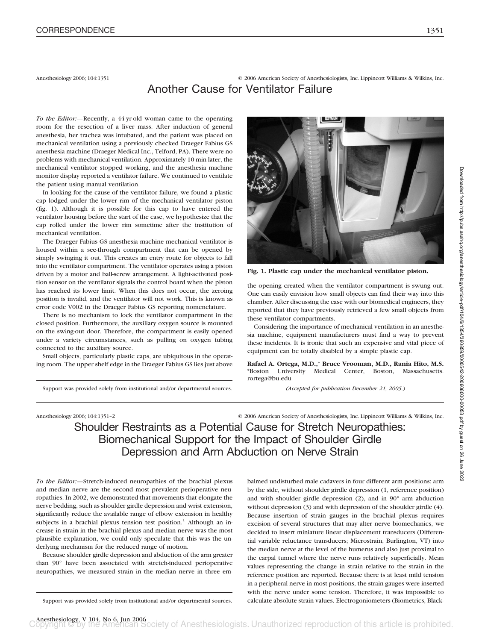Anesthesiology 2006; 104:1351 © 2006 American Society of Anesthesiologists, Inc. Lippincott Williams & Wilkins, Inc. Another Cause for Ventilator Failure

*To the Editor:—*Recently, a 44-yr-old woman came to the operating room for the resection of a liver mass. After induction of general anesthesia, her trachea was intubated, and the patient was placed on mechanical ventilation using a previously checked Draeger Fabius GS anesthesia machine (Draeger Medical Inc., Telford, PA). There were no problems with mechanical ventilation. Approximately 10 min later, the mechanical ventilator stopped working, and the anesthesia machine monitor display reported a ventilator failure. We continued to ventilate the patient using manual ventilation.

In looking for the cause of the ventilator failure, we found a plastic cap lodged under the lower rim of the mechanical ventilator piston (fig. 1). Although it is possible for this cap to have entered the ventilator housing before the start of the case, we hypothesize that the cap rolled under the lower rim sometime after the institution of mechanical ventilation.

The Draeger Fabius GS anesthesia machine mechanical ventilator is housed within a see-through compartment that can be opened by simply swinging it out. This creates an entry route for objects to fall into the ventilator compartment. The ventilator operates using a piston driven by a motor and ball-screw arrangement. A light-activated position sensor on the ventilator signals the control board when the piston has reached its lower limit. When this does not occur, the zeroing position is invalid, and the ventilator will not work. This is known as error code V002 in the Draeger Fabius GS reporting nomenclature.

There is no mechanism to lock the ventilator compartment in the closed position. Furthermore, the auxiliary oxygen source is mounted on the swing-out door. Therefore, the compartment is easily opened under a variety circumstances, such as pulling on oxygen tubing connected to the auxiliary source.

Small objects, particularly plastic caps, are ubiquitous in the operating room. The upper shelf edge in the Draeger Fabius GS lies just above

Support was provided solely from institutional and/or departmental sources.

the opening created when the ventilator compartment is swung out. **Fig. 1. Plastic cap under the mechanical ventilator piston.**

One can easily envision how small objects can find their way into this chamber. After discussing the case with our biomedical engineers, they reported that they have previously retrieved a few small objects from these ventilator compartments.

Considering the importance of mechanical ventilation in an anesthesia machine, equipment manufacturers must find a way to prevent these incidents. It is ironic that such an expensive and vital piece of equipment can be totally disabled by a simple plastic cap.

**Rafael A. Ortega, M.D.,\* Bruce Vrooman, M.D., Rania Hito, M.S.** \*Boston University Medical Center, Boston, Massachusetts. rortega@bu.edu

*(Accepted for publication December 21, 2005.)*

Anesthesiology 2006; 104:1351–2 © 2006 American Society of Anesthesiologists, Inc. Lippincott Williams & Wilkins, Inc.

Shoulder Restraints as a Potential Cause for Stretch Neuropathies: Biomechanical Support for the Impact of Shoulder Girdle Depression and Arm Abduction on Nerve Strain

*To the Editor:—*Stretch-induced neuropathies of the brachial plexus and median nerve are the second most prevalent perioperative neuropathies. In 2002, we demonstrated that movements that elongate the nerve bedding, such as shoulder girdle depression and wrist extension, significantly reduce the available range of elbow extension in healthy subjects in a brachial plexus tension test position.<sup>1</sup> Although an increase in strain in the brachial plexus and median nerve was the most plausible explanation, we could only speculate that this was the underlying mechanism for the reduced range of motion.

Because shoulder girdle depression and abduction of the arm greater than 90° have been associated with stretch-induced perioperative neuropathies, we measured strain in the median nerve in three em-

Support was provided solely from institutional and/or departmental sources.

balmed undisturbed male cadavers in four different arm positions: arm by the side, without shoulder girdle depression (1, reference position) and with shoulder girdle depression (2), and in 90° arm abduction without depression (3) and with depression of the shoulder girdle (4). Because insertion of strain gauges in the brachial plexus requires excision of several structures that may alter nerve biomechanics, we decided to insert miniature linear displacement transducers (Differential variable reluctance transducers; Microstrain, Burlington, VT) into the median nerve at the level of the humerus and also just proximal to the carpal tunnel where the nerve runs relatively superficially. Mean values representing the change in strain relative to the strain in the reference position are reported. Because there is at least mild tension in a peripheral nerve in most positions, the strain gauges were inserted with the nerve under some tension. Therefore, it was impossible to calculate absolute strain values. Electrogoniometers (Biometrics, Black-

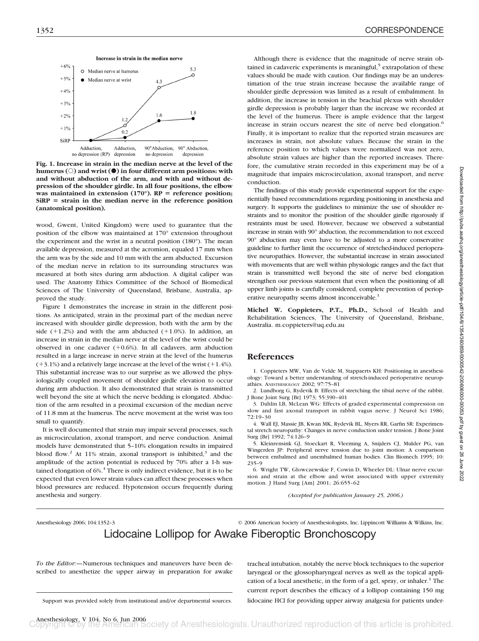

**Fig. 1. Increase in strain in the median nerve at the level of the humerus (**Œ**) and wrist () in four different arm positions: with and without abduction of the arm, and with and without depression of the shoulder girdle. In all four positions, the elbow** was maintained in extension (170°). RP = reference position; **SiRP strain in the median nerve in the reference position (anatomical position).**

wood, Gwent, United Kingdom) were used to guarantee that the position of the elbow was maintained at 170° extension throughout the experiment and the wrist in a neutral position (180°). The mean available depression, measured at the acromion, equaled 17 mm when the arm was by the side and 10 mm with the arm abducted. Excursion of the median nerve in relation to its surrounding structures was measured at both sites during arm abduction. A digital caliper was used. The Anatomy Ethics Committee of the School of Biomedical Sciences of The University of Queensland, Brisbane, Australia, approved the study.

Figure 1 demonstrates the increase in strain in the different positions. As anticipated, strain in the proximal part of the median nerve increased with shoulder girdle depression, both with the arm by the side  $(+1.2%)$  and with the arm abducted  $(+1.0%)$ . In addition, an increase in strain in the median nerve at the level of the wrist could be observed in one cadaver  $(+0.6%)$ . In all cadavers, arm abduction resulted in a large increase in nerve strain at the level of the humerus  $(+3.1%)$  and a relatively large increase at the level of the wrist  $(+1.4%)$ . This substantial increase was to our surprise as we allowed the physiologically coupled movement of shoulder girdle elevation to occur during arm abduction. It also demonstrated that strain is transmitted well beyond the site at which the nerve bedding is elongated. Abduction of the arm resulted in a proximal excursion of the median nerve of 11.8 mm at the humerus. The nerve movement at the wrist was too small to quantify.

It is well documented that strain may impair several processes, such as microcirculation, axonal transport, and nerve conduction. Animal models have demonstrated that 5–10% elongation results in impaired blood flow.<sup>2</sup> At 11% strain, axonal transport is inhibited,<sup>3</sup> and the amplitude of the action potential is reduced by 70% after a 1-h sustained elongation of  $6\%$ .<sup>4</sup> There is only indirect evidence, but it is to be expected that even lower strain values can affect these processes when blood pressures are reduced. Hypotension occurs frequently during anesthesia and surgery.

Although there is evidence that the magnitude of nerve strain obtained in cadaveric experiments is meaningful,<sup>5</sup> extrapolation of these values should be made with caution. Our findings may be an underestimation of the true strain increase because the available range of shoulder girdle depression was limited as a result of embalmment. In addition, the increase in tension in the brachial plexus with shoulder girdle depression is probably larger than the increase we recorded at the level of the humerus. There is ample evidence that the largest increase in strain occurs nearest the site of nerve bed elongation.<sup>6</sup> Finally, it is important to realize that the reported strain measures are increases in strain, not absolute values. Because the strain in the reference position to which values were normalized was not zero, absolute strain values are higher than the reported increases. Therefore, the cumulative strain recorded in this experiment may be of a magnitude that impairs microcirculation, axonal transport, and nerve conduction.

The findings of this study provide experimental support for the experientially based recommendations regarding positioning in anesthesia and surgery. It supports the guidelines to minimize the use of shoulder restraints and to monitor the position of the shoulder girdle rigorously if restraints must be used. However, because we observed a substantial increase in strain with 90° abduction, the recommendation to not exceed 90° abduction may even have to be adjusted to a more conservative guideline to further limit the occurrence of stretched-induced perioperative neuropathies. However, the substantial increase in strain associated with movements that are well within physiologic ranges and the fact that strain is transmitted well beyond the site of nerve bed elongation strengthen our previous statement that even when the positioning of all upper limb joints is carefully considered, complete prevention of perioperative neuropathy seems almost inconceivable.<sup>1</sup>

**Michel W. Coppieters, P.T., Ph.D.,** School of Health and Rehabilitation Sciences, The University of Queensland, Brisbane, Australia. m.coppieters@uq.edu.au

#### **References**

1. Coppieters MW, Van de Velde M, Stappaerts KH: Positioning in anesthesiology: Toward a better understanding of stretch-induced perioperative neuropathies. ANESTHESIOLOGY 2002; 97:75–81

2. Lundborg G, Rydevik B: Effects of stretching the tibial nerve of the rabbit. J Bone Joint Surg [Br] 1973; 55:390–401

3. Dahlin LB, McLean WG: Effects of graded experimental compression on slow and fast axonal transport in rabbit vagus nerve. J Neurol Sci 1986; 72:19–30

4. Wall EJ, Massie JB, Kwan MK, Rydevik BL, Myers RR, Garfin SR: Experimental stretch neuropathy: Changes in nerve conduction under tension. J Bone Joint Surg [Br] 1992; 74:126–9

5. Kleinrensink GJ, Stoeckart R, Vleeming A, Snijders CJ, Mulder PG, van Wingerden JP: Peripheral nerve tension due to joint motion: A comparison between embalmed and unembalmed human bodies. Clin Biomech 1995; 10: 235–9

6. Wright TW, Glowczewskie F, Cowin D, Wheeler DL: Ulnar nerve excursion and strain at the elbow and wrist associated with upper extremity motion. J Hand Surg [Am] 2001; 26:655–62

*(Accepted for publication January 25, 2006.)*

Anesthesiology 2006; 104:1352–3 © 2006 American Society of Anesthesiologists, Inc. Lippincott Williams & Wilkins, Inc. Lidocaine Lollipop for Awake Fiberoptic Bronchoscopy

*To the Editor:—*Numerous techniques and maneuvers have been described to anesthetize the upper airway in preparation for awake

tracheal intubation, notably the nerve block techniques to the superior laryngeal or the glossopharyngeal nerves as well as the topical application of a local anesthetic, in the form of a gel, spray, or inhaler.<sup>1</sup> The current report describes the efficacy of a lollipop containing 150 mg Support was provided solely from institutional and/or departmental sources. lidocaine HCl for providing upper airway analgesia for patients under-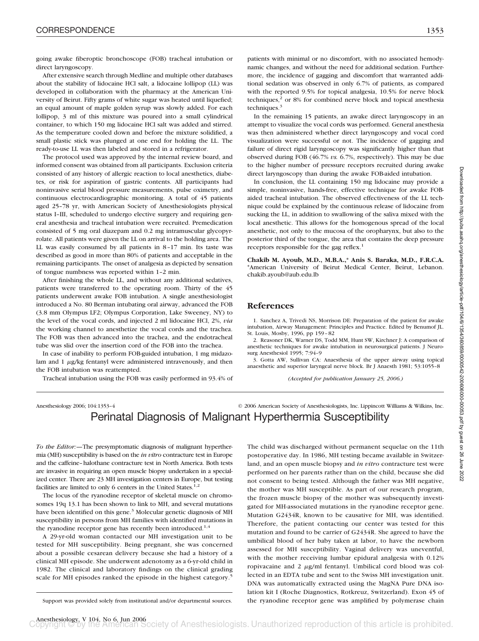going awake fiberoptic bronchoscope (FOB) tracheal intubation or direct laryngoscopy.

After extensive search through Medline and multiple other databases about the stability of lidocaine HCl salt, a lidocaine lollipop (LL) was developed in collaboration with the pharmacy at the American University of Beirut. Fifty grams of white sugar was heated until liquefied; an equal amount of maple golden syrup was slowly added. For each lollipop, 3 ml of this mixture was poured into a small cylindrical container, to which 150 mg lidocaine HCl salt was added and stirred. As the temperature cooled down and before the mixture solidified, a small plastic stick was plunged at one end for holding the LL. The ready-to-use LL was then labeled and stored in a refrigerator.

The protocol used was approved by the internal review board, and informed consent was obtained from all participants. Exclusion criteria consisted of any history of allergic reaction to local anesthetics, diabetes, or risk for aspiration of gastric contents. All participants had noninvasive serial blood pressure measurements, pulse oximetry, and continuous electrocardiographic monitoring. A total of 45 patients aged 25–78 yr, with American Society of Anesthesiologists physical status I–III, scheduled to undergo elective surgery and requiring general anesthesia and tracheal intubation were recruited. Premedication consisted of 5 mg oral diazepam and 0.2 mg intramuscular glycopyrrolate. All patients were given the LL on arrival to the holding area. The LL was easily consumed by all patients in 8 –17 min. Its taste was described as good in more than 80% of patients and acceptable in the remaining participants. The onset of analgesia as depicted by sensation of tongue numbness was reported within 1–2 min.

After finishing the whole LL, and without any additional sedatives, patients were transferred to the operating room. Thirty of the 45 patients underwent awake FOB intubation. A single anesthesiologist introduced a No. 80 Berman intubating oral airway, advanced the FOB (3.8 mm Olympus LF2; Olympus Corporation, Lake Sweeney, NY) to the level of the vocal cords, and injected 2 ml lidocaine HCl, 2%, *via* the working channel to anesthetize the vocal cords and the trachea. The FOB was then advanced into the trachea, and the endotracheal tube was slid over the insertion cord of the FOB into the trachea.

In case of inability to perform FOB-guided intubation, 1 mg midazolam and 1 µg/kg fentanyl were administered intravenously, and then the FOB intubation was reattempted.

Tracheal intubation using the FOB was easily performed in 93.4% of

patients with minimal or no discomfort, with no associated hemodynamic changes, and without the need for additional sedation. Furthermore, the incidence of gagging and discomfort that warranted additional sedation was observed in only 6.7% of patients, as compared with the reported 9.5% for topical analgesia, 10.5% for nerve block techniques, $2$  or 8% for combined nerve block and topical anesthesia techniques. $3$ 

In the remaining 15 patients, an awake direct laryngoscopy in an attempt to visualize the vocal cords was performed. General anesthesia was then administered whether direct laryngoscopy and vocal cord visualization were successful or not. The incidence of gagging and failure of direct rigid laryngoscopy was significantly higher than that observed during FOB (46.7% *vs.* 6.7%, respectively). This may be due to the higher number of pressure receptors recruited during awake direct laryngoscopy than during the awake FOB-aided intubation.

In conclusion, the LL containing 150 mg lidocaine may provide a simple, noninvasive, hands-free, effective technique for awake FOBaided tracheal intubation. The observed effectiveness of the LL technique could be explained by the continuous release of lidocaine from sucking the LL, in addition to swallowing of the saliva mixed with the local anesthetic. This allows for the homogenous spread of the local anesthetic, not only to the mucosa of the oropharynx, but also to the posterior third of the tongue, the area that contains the deep pressure receptors responsible for the gag reflex.<sup>1</sup>

**Chakib M. Ayoub, M.D., M.B.A.,\* Anis S. Baraka, M.D., F.R.C.A.** \*American University of Beirut Medical Center, Beirut, Lebanon. chakib.ayoub@aub.edu.lb

#### **References**

1. Sanchez A, Trivedi NS, Morrison DE: Preparation of the patient for awake intubation, Airway Management: Principles and Practice. Edited by Benumof JL. St. Louis, Mosby, 1996, pp 159 – 82

2. Reasoner DK, Warner DS, Todd MM, Hunt SW, Kirchner J: A comparison of anesthetic techniques for awake intubation in neurosurgical patients. J Neurosurg Anesthesiol 1995; 7:94–9

3. Gotta AW, Sullivan CA: Anaesthesia of the upper airway using topical anaesthetic and superior laryngeal nerve block. Br J Anaesth 1981; 53:1055–8

*(Accepted for publication January 25, 2006.)*

### Anesthesiology 2006; 104:1353–4 © 2006 American Society of Anesthesiologists, Inc. Lippincott Williams & Wilkins, Inc. Perinatal Diagnosis of Malignant Hyperthermia Susceptibility

*To the Editor:—*The presymptomatic diagnosis of malignant hyperthermia (MH) susceptibility is based on the *in vitro* contracture test in Europe and the caffeine–halothane contracture test in North America. Both tests are invasive in requiring an open muscle biopsy undertaken in a specialized center. There are 23 MH investigation centers in Europe, but testing facilities are limited to only  $6$  centers in the United States.<sup>1,2</sup>

The locus of the ryanodine receptor of skeletal muscle on chromosomes 19q 13.1 has been shown to link to MH, and several mutations have been identified on this gene.<sup>3</sup> Molecular genetic diagnosis of MH susceptibility in persons from MH families with identified mutations in the ryanodine receptor gene has recently been introduced.<sup>1,4</sup>

A 29-yr-old woman contacted our MH investigation unit to be tested for MH susceptibility. Being pregnant, she was concerned about a possible cesarean delivery because she had a history of a clinical MH episode. She underwent adenotomy as a 6-yr-old child in 1982. The clinical and laboratory findings on the clinical grading scale for MH episodes ranked the episode in the highest category.<sup>5</sup>

The child was discharged without permanent sequelae on the 11th postoperative day. In 1986, MH testing became available in Switzerland, and an open muscle biopsy and *in vitro* contracture test were performed on her parents rather than on the child, because she did not consent to being tested. Although the father was MH negative, the mother was MH susceptible. As part of our research program, the frozen muscle biopsy of the mother was subsequently investigated for MH-associated mutations in the ryanodine receptor gene. Mutation G2434R, known to be causative for MH, was identified. Therefore, the patient contacting our center was tested for this mutation and found to be carrier of G2434R. She agreed to have the umbilical blood of her baby taken at labor, to have the newborn assessed for MH susceptibility. Vaginal delivery was uneventful, with the mother receiving lumbar epidural analgesia with 0.12% ropivacaine and 2 µg/ml fentanyl. Umbilical cord blood was collected in an EDTA tube and sent to the Swiss MH investigation unit. DNA was automatically extracted using the MagNA Pure DNA isolation kit I (Roche Diagnostics, Rotkreuz, Switzerland). Exon 45 of Support was provided solely from institutional and/or departmental sources. the ryanodine receptor gene was amplified by polymerase chain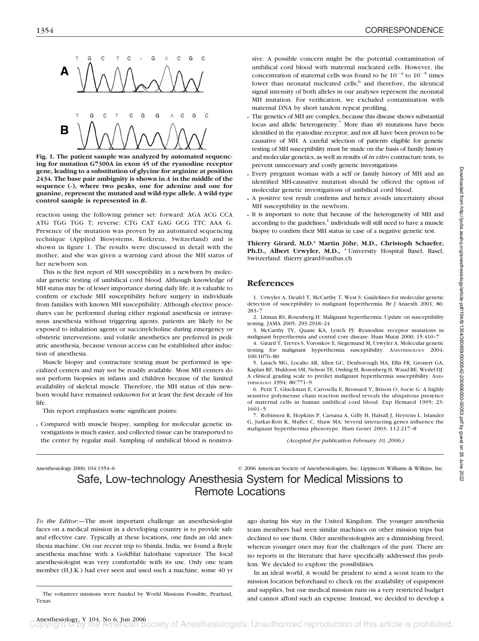



**Fig. 1. The patient sample was analyzed by automated sequencing for mutation G7300A in exon 45 of the ryanodine receptor gene, leading to a substitution of glycine for arginine at position 2434. The base pair ambiguity is shown in** *A* **in the middle of the sequence (-), where two peaks, one for adenine and one for guanine, represent the mutated and wild-type allele. A wild-type control sample is represented in** *B***.**

reaction using the following primer set: forward: AGA ACG CCA ATG TGG TGG T; reverse: CTG CAT GAG GCG TTC AAA G. Presence of the mutation was proven by an automated sequencing technique (Applied Biosystems, Rotkreuz, Switzerland) and is shown in figure 1. The results were discussed in detail with the mother, and she was given a warning card about the MH status of her newborn son.

This is the first report of MH susceptibility in a newborn by molecular genetic testing of umbilical cord blood. Although knowledge of MH status may be of lesser importance during daily life, it is valuable to confirm or exclude MH susceptibility before surgery in individuals from families with known MH susceptibility. Although elective procedures can be performed during either regional anesthesia or intravenous anesthesia without triggering agents, patients are likely to be exposed to inhalation agents or succinylcholine during emergency or obstetric interventions, and volatile anesthetics are preferred in pediatric anesthesia, because venous access can be established after induction of anesthesia.

Muscle biopsy and contracture testing must be performed in specialized centers and may not be readily available. Most MH centers do not perform biopsies in infants and children because of the limited availability of skeletal muscle. Therefore, the MH status of this newborn would have remained unknown for at least the first decade of his life.

This report emphasizes some significant points:

● Compared with muscle biopsy, sampling for molecular genetic investigations is much easier, and collected tissue can be transported to the center by regular mail. Sampling of umbilical blood is noninva-

sive. A possible concern might be the potential contamination of umbilical cord blood with maternal nucleated cells. However, the concentration of maternal cells was found to be  $10^{-4}$  to  $10^{-5}$  times lower than neonatal nucleated cells, $<sup>6</sup>$  and therefore, the identical</sup> signal intensity of both alleles in our analyses represent the neonatal MH mutation. For verification, we excluded contamination with maternal DNA by short tandem repeat profiling.

- The genetics of MH are complex, because this disease shows substantial locus and allelic heterogeneity.<sup>7</sup> More than 40 mutations have been identified in the ryanodine receptor, and not all have been proven to be causative of MH. A careful selection of patients eligible for genetic testing of MH susceptibility must be made on the basis of family history and molecular genetics, as well as results of *in vitro* contracture tests, to prevent unnecessary and costly genetic investigations.
- Every pregnant woman with a self or family history of MH and an identified MH-causative mutation should be offered the option of molecular genetic investigations of umbilical cord blood.
- . A positive test result confirms and hence avoids uncertainty about MH susceptibility in the newborn.
- It is important to note that because of the heterogeneity of MH and according to the guidelines, $<sup>1</sup>$  individuals will still need to have a muscle</sup> biopsy to confirm their MH status in case of a negative genetic test.

Thierry Girard, M.D.\* Martin Jöhr, M.D., Christoph Schaefer, **Ph.D., Albert Urwyler, M.D.,** \* University Hospital Basel, Basel, Switzerland. thierry.girard@unibas.ch

#### **References**

1. Urwyler A, Deufel T, McCarthy T, West S: Guidelines for molecular genetic detection of susceptibility to malignant hyperthermia. Br J Anaesth 2001; 86: 283–7

2. Litman RS, Rosenberg H: Malignant hyperthermia: Update on susceptibility testing. JAMA 2005; 293:2918–24

3. McCarthy TV, Quane KA, Lynch PJ: Ryanodine receptor mutations in malignant hyperthermia and central core disease. Hum Mutat 2000; 15:410–7

4. Girard T, Treves S, Voronkov E, Siegemund M, Urwyler A: Molecular genetic testing for malignant hyperthermia susceptibility. ANESTHESIOLOGY 100:1076–80

5. Larach MG, Localio AR, Allen GC, Denborough MA, Ellis FR, Gronert GA, Kaplan RF, Muldoon SM, Nelson TE, Ording H, Rosenberg H, Waud BE, Wedel DJ: A clinical grading scale to predict malignant hyperthermia susceptibility. ANES-THESIOLOGY 1994; 80:771–9

6. Petit T, Gluckman E, Carosella E, Brossard Y, Brison O, Socie G: A highly sensitive polymerase chain reaction method reveals the ubiquitous presence of maternal cells in human umbilical cord blood. Exp Hematol 1995; 23: 1601–5

7. Robinson R, Hopkins P, Carsana A, Gilly H, Halsall J, Heytens L, Islander G, Jurkat-Rott K, Muller C, Shaw MA: Several interacting genes influence the malignant hyperthermia phenotype. Hum Genet 2003; 112:217–8

*(Accepted for publication February 10, 2006.)*

Anesthesiology 2006; 104:1354–6 © 2006 American Society of Anesthesiologists, Inc. Lippincott Williams & Wilkins, Inc.

### Safe, Low-technology Anesthesia System for Medical Missions to Remote Locations

*To the Editor:—*The most important challenge an anesthesiologist faces on a medical mission in a developing country is to provide safe and effective care. Typically at these locations, one finds an old anesthesia machine. On our recent trip to Shimla, India, we found a Boyle anesthesia machine with a Goldblat halothane vaporizer. The local anesthesiologist was very comfortable with its use. Only one team member (H.J.K.) had ever seen and used such a machine, some 40 yr

ago during his stay in the United Kingdom. The younger anesthesia team members had seen similar machines on other mission trips but declined to use them. Older anesthesiologists are a diminishing breed, whereas younger ones may fear the challenges of the past. There are no reports in the literature that have specifically addressed this problem. We decided to explore the possibilities.

In an ideal world, it would be prudent to send a scout team to the mission location beforehand to check on the availability of equipment and supplies, but our medical mission runs on a very restricted budget The volunteer missions were funded by World Missions Possible, Pearland, and supplies, but our included infission runs on a very restricted budget

Texas.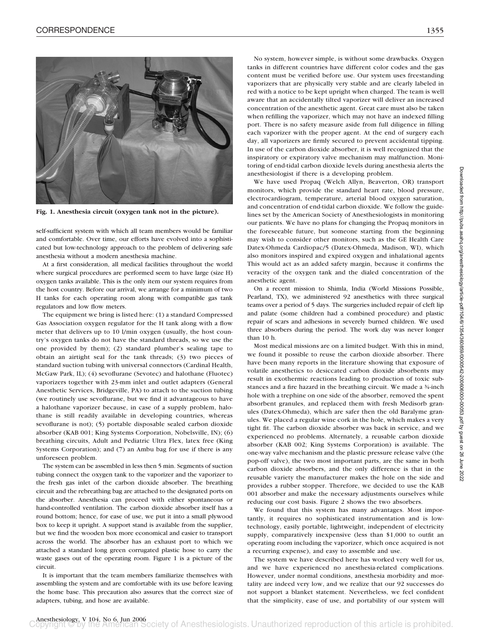

**Fig. 1. Anesthesia circuit (oxygen tank not in the picture).**

self-sufficient system with which all team members would be familiar and comfortable. Over time, our efforts have evolved into a sophisticated but low-technology approach to the problem of delivering safe anesthesia without a modern anesthesia machine.

At a first consideration, all medical facilities throughout the world where surgical procedures are performed seem to have large (size H) oxygen tanks available. This is the only item our system requires from the host country. Before our arrival, we arrange for a minimum of two H tanks for each operating room along with compatible gas tank regulators and low flow meters.

The equipment we bring is listed here: (1) a standard Compressed Gas Association oxygen regulator for the H tank along with a flow meter that delivers up to 10 l/min oxygen (usually, the host country's oxygen tanks do not have the standard threads, so we use the one provided by them); (2) standard plumber's sealing tape to obtain an airtight seal for the tank threads; (3) two pieces of standard suction tubing with universal connectors (Cardinal Health, McGaw Park, IL); (4) sevoflurane (Sevotec) and halothane (Fluotec) vaporizers together with 23-mm inlet and outlet adapters (General Anesthetic Services, Bridgeville, PA) to attach to the suction tubing (we routinely use sevoflurane, but we find it advantageous to have a halothane vaporizer because, in case of a supply problem, halothane is still readily available in developing countries, whereas sevoflurane is not); (5) portable disposable sealed carbon dioxide absorber (KAB 001; King Systems Corporation, Nobelsville, IN); (6) breathing circuits, Adult and Pediatric Ultra Flex, latex free (King Systems Corporation); and (7) an Ambu bag for use if there is any unforeseen problem.

The system can be assembled in less then 5 min. Segments of suction tubing connect the oxygen tank to the vaporizer and the vaporizer to the fresh gas inlet of the carbon dioxide absorber. The breathing circuit and the rebreathing bag are attached to the designated ports on the absorber. Anesthesia can proceed with either spontaneous or hand-controlled ventilation. The carbon dioxide absorber itself has a round bottom; hence, for ease of use, we put it into a small plywood box to keep it upright. A support stand is available from the supplier, but we find the wooden box more economical and easier to transport across the world. The absorber has an exhaust port to which we attached a standard long green corrugated plastic hose to carry the waste gases out of the operating room. Figure 1 is a picture of the circuit.

It is important that the team members familiarize themselves with assembling the system and are comfortable with its use before leaving the home base. This precaution also assures that the correct size of adapters, tubing, and hose are available.

No system, however simple, is without some drawbacks. Oxygen tanks in different countries have different color codes and the gas content must be verified before use. Our system uses freestanding vaporizers that are physically very stable and are clearly labeled in red with a notice to be kept upright when charged. The team is well aware that an accidentally tilted vaporizer will deliver an increased concentration of the anesthetic agent. Great care must also be taken when refilling the vaporizer, which may not have an indexed filling port. There is no safety measure aside from full diligence in filling each vaporizer with the proper agent. At the end of surgery each day, all vaporizers are firmly secured to prevent accidental tipping. In use of the carbon dioxide absorber, it is well recognized that the inspiratory or expiratory valve mechanism may malfunction. Monitoring of end-tidal carbon dioxide levels during anesthesia alerts the anesthesiologist if there is a developing problem.

We have used Propaq (Welch Allyn, Beaverton, OR) transport monitors, which provide the standard heart rate, blood pressure, electrocardiogram, temperature, arterial blood oxygen saturation, and concentration of end-tidal carbon dioxide. We follow the guidelines set by the American Society of Anesthesiologists in monitoring our patients. We have no plans for changing the Propaq monitors in the foreseeable future, but someone starting from the beginning may wish to consider other monitors, such as the GE Health Care Datex-Ohmeda Cardiopac/5 (Datex-Ohmeda, Madison, WI), which also monitors inspired and expired oxygen and inhalational agents This would act as an added safety margin, because it confirms the veracity of the oxygen tank and the dialed concentration of the anesthetic agent.

On a recent mission to Shimla, India (World Missions Possible, Pearland, TX), we administered 92 anesthetics with three surgical teams over a period of 5 days. The surgeries included repair of cleft lip and palate (some children had a combined procedure) and plastic repair of scars and adhesions in severely burned children. We used three absorbers during the period. The work day was never longer than 10 h.

Most medical missions are on a limited budget. With this in mind, we found it possible to reuse the carbon dioxide absorber. There have been many reports in the literature showing that exposure of volatile anesthetics to desiccated carbon dioxide absorbents may result in exothermic reactions leading to production of toxic substances and a fire hazard in the breathing circuit. We made a ¾-inch hole with a trephine on one side of the absorber, removed the spent absorbent granules, and replaced them with fresh Medisorb granules (Datex-Ohmeda), which are safer then the old Baralyme granules. We placed a regular wine cork in the hole, which makes a very tight fit. The carbon dioxide absorber was back in service, and we experienced no problems. Alternately, a reusable carbon dioxide absorber (KAB 002; King Systems Corporation) is available. The one-way valve mechanism and the plastic pressure release valve (the pop-off valve), the two most important parts, are the same in both carbon dioxide absorbers, and the only difference is that in the reusable variety the manufacturer makes the hole on the side and provides a rubber stopper. Therefore, we decided to use the KAB 001 absorber and make the necessary adjustments ourselves while reducing our cost basis. Figure 2 shows the two absorbers.

We found that this system has many advantages. Most importantly, it requires no sophisticated instrumentation and is lowtechnology, easily portable, lightweight, independent of electricity supply, comparatively inexpensive (less than \$1,000 to outfit an operating room including the vaporizer, which once acquired is not a recurring expense), and easy to assemble and use.

The system we have described here has worked very well for us, and we have experienced no anesthesia-related complications. However, under normal conditions, anesthesia morbidity and mortality are indeed very low, and we realize that our 92 successes do not support a blanket statement. Nevertheless, we feel confident that the simplicity, ease of use, and portability of our system will